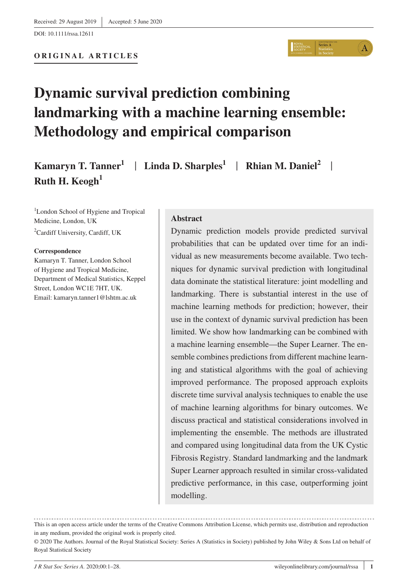# **Dynamic survival prediction combining landmarking with a machine learning ensemble: Methodology and empirical comparison**

**Kamaryn T. Tanner**<sup>1</sup> | Linda D. Sharples<sup>1</sup> | Rhian M. Daniel<sup>2</sup> | **Ruth H. Keogh<sup>1</sup>**

<sup>1</sup>London School of Hygiene and Tropical Medicine, London, UK

<sup>2</sup>Cardiff University, Cardiff, UK

#### **Correspondence**

Kamaryn T. Tanner, London School of Hygiene and Tropical Medicine, Department of Medical Statistics, Keppel Street, London WC1E 7HT, UK. Email: [kamaryn.tanner1@lshtm.ac.uk](mailto:kamaryn.tanner1@lshtm.ac.uk)

#### **Abstract**

Dynamic prediction models provide predicted survival probabilities that can be updated over time for an individual as new measurements become available. Two techniques for dynamic survival prediction with longitudinal data dominate the statistical literature: joint modelling and landmarking. There is substantial interest in the use of machine learning methods for prediction; however, their use in the context of dynamic survival prediction has been limited. We show how landmarking can be combined with a machine learning ensemble—the Super Learner. The ensemble combines predictions from different machine learning and statistical algorithms with the goal of achieving improved performance. The proposed approach exploits discrete time survival analysis techniques to enable the use of machine learning algorithms for binary outcomes. We discuss practical and statistical considerations involved in implementing the ensemble. The methods are illustrated and compared using longitudinal data from the UK Cystic Fibrosis Registry. Standard landmarking and the landmark Super Learner approach resulted in similar cross-validated predictive performance, in this case, outperforming joint modelling.

This is an open access article under the terms of the [Creative Commons Attribution](http://creativecommons.org/licenses/by/4.0/) License, which permits use, distribution and reproduction in any medium, provided the original work is properly cited.

<sup>© 2020</sup> The Authors. Journal of the Royal Statistical Society: Series A (Statistics in Society) published by John Wiley & Sons Ltd on behalf of Royal Statistical Society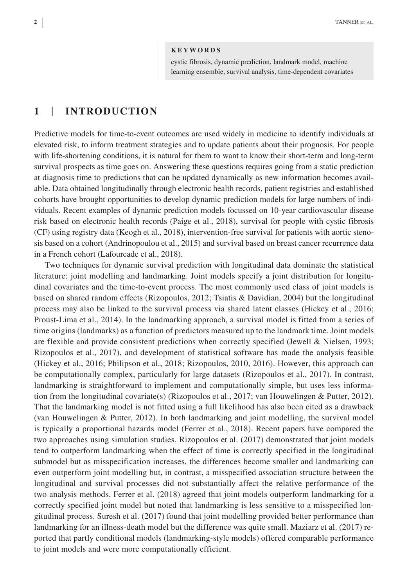#### **KEYWORDS**

cystic fibrosis, dynamic prediction, landmark model, machine learning ensemble, survival analysis, time-dependent covariates

## **1** | **INTRODUCTION**

Predictive models for time-to-event outcomes are used widely in medicine to identify individuals at elevated risk, to inform treatment strategies and to update patients about their prognosis. For people with life-shortening conditions, it is natural for them to want to know their short-term and long-term survival prospects as time goes on. Answering these questions requires going from a static prediction at diagnosis time to predictions that can be updated dynamically as new information becomes available. Data obtained longitudinally through electronic health records, patient registries and established cohorts have brought opportunities to develop dynamic prediction models for large numbers of individuals. Recent examples of dynamic prediction models focussed on 10-year cardiovascular disease risk based on electronic health records (Paige et al., 2018), survival for people with cystic fibrosis (CF) using registry data (Keogh et al., 2018), intervention-free survival for patients with aortic stenosis based on a cohort (Andrinopoulou et al., 2015) and survival based on breast cancer recurrence data in a French cohort (Lafourcade et al., 2018).

Two techniques for dynamic survival prediction with longitudinal data dominate the statistical literature: joint modelling and landmarking. Joint models specify a joint distribution for longitudinal covariates and the time-to-event process. The most commonly used class of joint models is based on shared random effects (Rizopoulos, 2012; Tsiatis & Davidian, 2004) but the longitudinal process may also be linked to the survival process via shared latent classes (Hickey et al., 2016; Proust-Lima et al., 2014). In the landmarking approach, a survival model is fitted from a series of time origins (landmarks) as a function of predictors measured up to the landmark time. Joint models are flexible and provide consistent predictions when correctly specified (Jewell & Nielsen, 1993; Rizopoulos et al., 2017), and development of statistical software has made the analysis feasible (Hickey et al., 2016; Philipson et al., 2018; Rizopoulos, 2010, 2016). However, this approach can be computationally complex, particularly for large datasets (Rizopoulos et al., 2017). In contrast, landmarking is straightforward to implement and computationally simple, but uses less information from the longitudinal covariate(s) (Rizopoulos et al., 2017; van Houwelingen & Putter, 2012). That the landmarking model is not fitted using a full likelihood has also been cited as a drawback (van Houwelingen & Putter, 2012). In both landmarking and joint modelling, the survival model is typically a proportional hazards model (Ferrer et al., 2018). Recent papers have compared the two approaches using simulation studies. Rizopoulos et al. (2017) demonstrated that joint models tend to outperform landmarking when the effect of time is correctly specified in the longitudinal submodel but as misspecification increases, the differences become smaller and landmarking can even outperform joint modelling but, in contrast, a misspecified association structure between the longitudinal and survival processes did not substantially affect the relative performance of the two analysis methods. Ferrer et al. (2018) agreed that joint models outperform landmarking for a correctly specified joint model but noted that landmarking is less sensitive to a misspecified longitudinal process. Suresh et al. (2017) found that joint modelling provided better performance than landmarking for an illness-death model but the difference was quite small. Maziarz et al. (2017) reported that partly conditional models (landmarking-style models) offered comparable performance to joint models and were more computationally efficient.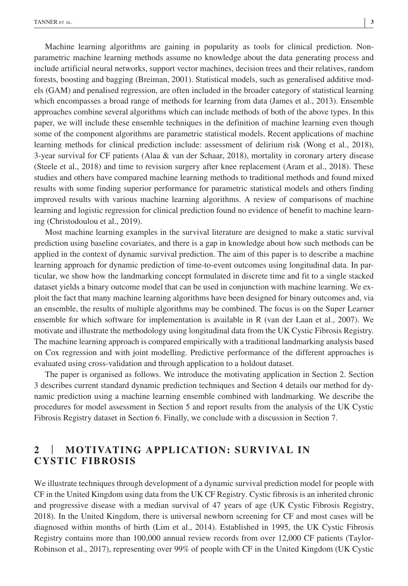Machine learning algorithms are gaining in popularity as tools for clinical prediction. Nonparametric machine learning methods assume no knowledge about the data generating process and include artificial neural networks, support vector machines, decision trees and their relatives, random forests, boosting and bagging (Breiman, 2001). Statistical models, such as generalised additive models (GAM) and penalised regression, are often included in the broader category of statistical learning which encompasses a broad range of methods for learning from data (James et al., 2013). Ensemble approaches combine several algorithms which can include methods of both of the above types. In this paper, we will include these ensemble techniques in the definition of machine learning even though some of the component algorithms are parametric statistical models. Recent applications of machine learning methods for clinical prediction include: assessment of delirium risk (Wong et al., 2018), 3-year survival for CF patients (Alaa & van der Schaar, 2018), mortality in coronary artery disease (Steele et al., 2018) and time to revision surgery after knee replacement (Aram et al., 2018). These studies and others have compared machine learning methods to traditional methods and found mixed results with some finding superior performance for parametric statistical models and others finding improved results with various machine learning algorithms. A review of comparisons of machine learning and logistic regression for clinical prediction found no evidence of benefit to machine learning (Christodoulou et al., 2019).

Most machine learning examples in the survival literature are designed to make a static survival prediction using baseline covariates, and there is a gap in knowledge about how such methods can be applied in the context of dynamic survival prediction. The aim of this paper is to describe a machine learning approach for dynamic prediction of time-to-event outcomes using longitudinal data. In particular, we show how the landmarking concept formulated in discrete time and fit to a single stacked dataset yields a binary outcome model that can be used in conjunction with machine learning. We exploit the fact that many machine learning algorithms have been designed for binary outcomes and, via an ensemble, the results of multiple algorithms may be combined. The focus is on the Super Learner ensemble for which software for implementation is available in R (van der Laan et al., 2007). We motivate and illustrate the methodology using longitudinal data from the UK Cystic Fibrosis Registry. The machine learning approach is compared empirically with a traditional landmarking analysis based on Cox regression and with joint modelling. Predictive performance of the different approaches is evaluated using cross-validation and through application to a holdout dataset.

The paper is organised as follows. We introduce the motivating application in Section 2. Section 3 describes current standard dynamic prediction techniques and Section 4 details our method for dynamic prediction using a machine learning ensemble combined with landmarking. We describe the procedures for model assessment in Section 5 and report results from the analysis of the UK Cystic Fibrosis Registry dataset in Section 6. Finally, we conclude with a discussion in Section 7.

# **2** | **MOTIVATING APPLICATION: SURVIVAL IN CYSTIC FIBROSIS**

We illustrate techniques through development of a dynamic survival prediction model for people with CF in the United Kingdom using data from the UK CF Registry. Cystic fibrosis is an inherited chronic and progressive disease with a median survival of 47 years of age (UK Cystic Fibrosis Registry, 2018). In the United Kingdom, there is universal newborn screening for CF and most cases will be diagnosed within months of birth (Lim et al., 2014). Established in 1995, the UK Cystic Fibrosis Registry contains more than 100,000 annual review records from over 12,000 CF patients (Taylor-Robinson et al., 2017), representing over 99% of people with CF in the United Kingdom (UK Cystic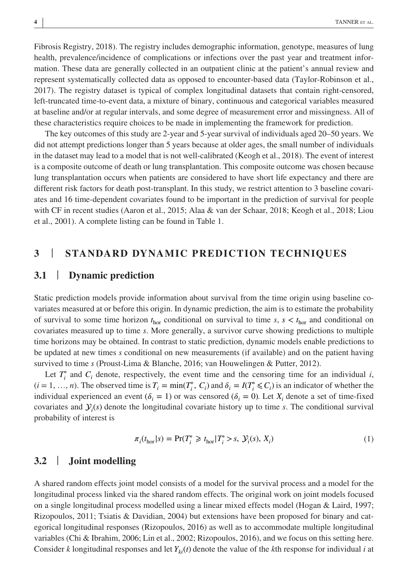Fibrosis Registry, 2018). The registry includes demographic information, genotype, measures of lung health, prevalence/incidence of complications or infections over the past year and treatment information. These data are generally collected in an outpatient clinic at the patient's annual review and represent systematically collected data as opposed to encounter-based data (Taylor-Robinson et al., 2017). The registry dataset is typical of complex longitudinal datasets that contain right-censored, left-truncated time-to-event data, a mixture of binary, continuous and categorical variables measured at baseline and/or at regular intervals, and some degree of measurement error and missingness. All of these characteristics require choices to be made in implementing the framework for prediction.

The key outcomes of this study are 2-year and 5-year survival of individuals aged 20–50 years. We did not attempt predictions longer than 5 years because at older ages, the small number of individuals in the dataset may lead to a model that is not well-calibrated (Keogh et al., 2018). The event of interest is a composite outcome of death or lung transplantation. This composite outcome was chosen because lung transplantation occurs when patients are considered to have short life expectancy and there are different risk factors for death post-transplant. In this study, we restrict attention to 3 baseline covariates and 16 time-dependent covariates found to be important in the prediction of survival for people with CF in recent studies (Aaron et al., 2015; Alaa & van der Schaar, 2018; Keogh et al., 2018; Liou et al., 2001). A complete listing can be found in Table 1.

# **3** | **STANDARD DYNAMIC PREDICTION TECHNIQUES**

#### **3.1** | **Dynamic prediction**

Static prediction models provide information about survival from the time origin using baseline covariates measured at or before this origin. In dynamic prediction, the aim is to estimate the probability of survival to some time horizon  $t_{\text{hor}}$  conditional on survival to time *s*,  $s < t_{\text{hor}}$  and conditional on covariates measured up to time *s*. More generally, a survivor curve showing predictions to multiple time horizons may be obtained. In contrast to static prediction, dynamic models enable predictions to be updated at new times *s* conditional on new measurements (if available) and on the patient having survived to time *s* (Proust-Lima & Blanche, 2016; van Houwelingen & Putter, 2012).

Let  $T_i^*$  and  $C_i$  denote, respectively, the event time and the censoring time for an individual *i*,  $(i = 1, ..., n)$ . The observed time is  $T_i = \min(T_i^*, C_i)$  and  $\delta_i = I(T_i^* \leq C_i)$  is an indicator of whether the individual experienced an event ( $\delta_i = 1$ ) or was censored ( $\delta_i = 0$ ). Let  $X_i$  denote a set of time-fixed covariates and  $\mathcal{Y}_i(s)$  denote the longitudinal covariate history up to time *s*. The conditional survival probability of interest is

$$
\pi_i(t_{\text{hor}}|s) = \Pr(T_i^* \ge t_{\text{hor}}|T_i^* > s, \mathcal{Y}_i(s), X_i)
$$
\n<sup>(1)</sup>

# **3.2** | **Joint modelling**

A shared random effects joint model consists of a model for the survival process and a model for the longitudinal process linked via the shared random effects. The original work on joint models focused on a single longitudinal process modelled using a linear mixed effects model (Hogan & Laird, 1997; Rizopoulos, 2011; Tsiatis & Davidian, 2004) but extensions have been proposed for binary and categorical longitudinal responses (Rizopoulos, 2016) as well as to accommodate multiple longitudinal variables (Chi & Ibrahim, 2006; Lin et al., 2002; Rizopoulos, 2016), and we focus on this setting here. Consider *k* longitudinal responses and let  $Y_{ki}(t)$  denote the value of the *k*th response for individual *i* at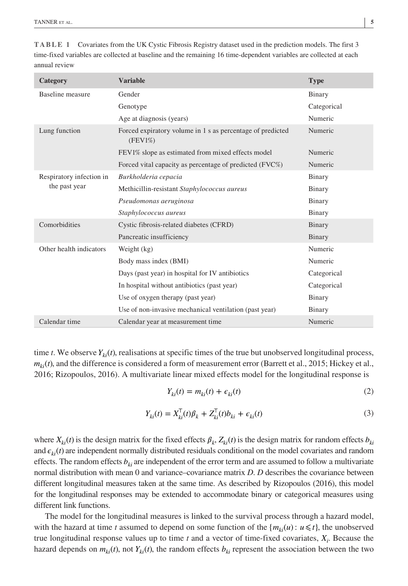| Category                 | <b>Variable</b>                                                       | <b>Type</b> |
|--------------------------|-----------------------------------------------------------------------|-------------|
| Baseline measure         | Gender                                                                | Binary      |
|                          | Genotype                                                              | Categorical |
|                          | Age at diagnosis (years)                                              | Numeric     |
| Lung function            | Forced expiratory volume in 1 s as percentage of predicted<br>(FEV1%) | Numeric     |
|                          | FEV1% slope as estimated from mixed effects model                     | Numeric     |
|                          | Forced vital capacity as percentage of predicted (FVC%)               | Numeric     |
| Respiratory infection in | Burkholderia cepacia                                                  | Binary      |
| the past year            | Methicillin-resistant Staphylococcus aureus                           | Binary      |
|                          | Pseudomonas aeruginosa                                                | Binary      |
|                          | Staphylococcus aureus                                                 | Binary      |
| Comorbidities            | Cystic fibrosis-related diabetes (CFRD)                               | Binary      |
|                          | Pancreatic insufficiency                                              | Binary      |
| Other health indicators  | Weight (kg)                                                           | Numeric     |
|                          | Body mass index (BMI)                                                 | Numeric     |
|                          | Days (past year) in hospital for IV antibiotics                       | Categorical |
|                          | In hospital without antibiotics (past year)                           | Categorical |
|                          | Use of oxygen therapy (past year)                                     | Binary      |
|                          | Use of non-invasive mechanical ventilation (past year)                | Binary      |
| Calendar time            | Calendar year at measurement time                                     | Numeric     |

**TABLE 1** Covariates from the UK Cystic Fibrosis Registry dataset used in the prediction models. The first 3 time-fixed variables are collected at baseline and the remaining 16 time-dependent variables are collected at each annual review

time *t*. We observe  $Y_{ki}(t)$ , realisations at specific times of the true but unobserved longitudinal process,  $m_{ki}(t)$ , and the difference is considered a form of measurement error (Barrett et al., 2015; Hickey et al., 2016; Rizopoulos, 2016). A multivariate linear mixed effects model for the longitudinal response is

$$
Y_{ki}(t) = m_{ki}(t) + \epsilon_{ki}(t) \tag{2}
$$

$$
Y_{ki}(t) = X_{ki}^{\mathsf{T}}(t)\beta_k + Z_{ki}^{\mathsf{T}}(t)b_{ki} + \epsilon_{ki}(t)
$$
\n(3)

where  $X_{ki}(t)$  is the design matrix for the fixed effects  $\beta_k$ ,  $Z_{ki}(t)$  is the design matrix for random effects  $b_{ki}$ and  $\epsilon_{ki}(t)$  are independent normally distributed residuals conditional on the model covariates and random effects. The random effects  $b_k$  are independent of the error term and are assumed to follow a multivariate normal distribution with mean 0 and variance–covariance matrix *D*. *D* describes the covariance between different longitudinal measures taken at the same time. As described by Rizopoulos (2016), this model for the longitudinal responses may be extended to accommodate binary or categorical measures using different link functions.

The model for the longitudinal measures is linked to the survival process through a hazard model, with the hazard at time *t* assumed to depend on some function of the { $m_{ki}(u)$  :  $u \le t$ }, the unobserved true longitudinal response values up to time  $t$  and a vector of time-fixed covariates,  $X_i$ . Because the hazard depends on  $m_{ki}(t)$ , not  $Y_{ki}(t)$ , the random effects  $b_{ki}$  represent the association between the two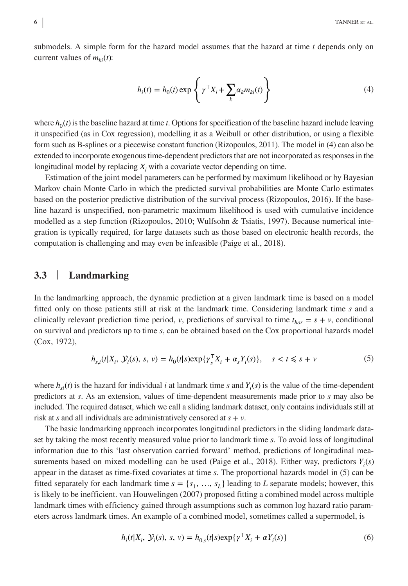submodels. A simple form for the hazard model assumes that the hazard at time *t* depends only on current values of  $m_{ki}(t)$ :

$$
h_i(t) = h_0(t) \exp\left\{\gamma^\top X_i + \sum_k \alpha_k m_{ki}(t)\right\} \tag{4}
$$

where  $h_0(t)$  is the baseline hazard at time *t*. Options for specification of the baseline hazard include leaving it unspecified (as in Cox regression), modelling it as a Weibull or other distribution, or using a flexible form such as B-splines or a piecewise constant function (Rizopoulos, 2011). The model in (4) can also be extended to incorporate exogenous time-dependent predictors that are not incorporated as responses in the longitudinal model by replacing  $X_i$  with a covariate vector depending on time.

Estimation of the joint model parameters can be performed by maximum likelihood or by Bayesian Markov chain Monte Carlo in which the predicted survival probabilities are Monte Carlo estimates based on the posterior predictive distribution of the survival process (Rizopoulos, 2016). If the baseline hazard is unspecified, non-parametric maximum likelihood is used with cumulative incidence modelled as a step function (Rizopoulos, 2010; Wulfsohn & Tsiatis, 1997). Because numerical integration is typically required, for large datasets such as those based on electronic health records, the computation is challenging and may even be infeasible (Paige et al., 2018).

# **3.3** | **Landmarking**

In the landmarking approach, the dynamic prediction at a given landmark time is based on a model fitted only on those patients still at risk at the landmark time. Considering landmark time *s* and a clinically relevant prediction time period, *v*, predictions of survival to time  $t_{hor} = s + v$ , conditional on survival and predictors up to time *s*, can be obtained based on the Cox proportional hazards model (Cox, 1972),

$$
h_{s,i}(t|X_i, \mathcal{Y}_i(s), s, v) = h_0(t|s) \exp{\{\gamma_s^{\top} X_i + \alpha_s Y_i(s)\}}, \quad s < t \leq s + v
$$
 (5)

where  $h_{si}(t)$  is the hazard for individual *i* at landmark time *s* and  $Y_i(s)$  is the value of the time-dependent predictors at *s*. As an extension, values of time-dependent measurements made prior to *s* may also be included. The required dataset, which we call a sliding landmark dataset, only contains individuals still at risk at *s* and all individuals are administratively censored at *s* + *v*.

The basic landmarking approach incorporates longitudinal predictors in the sliding landmark dataset by taking the most recently measured value prior to landmark time *s*. To avoid loss of longitudinal information due to this 'last observation carried forward' method, predictions of longitudinal measurements based on mixed modelling can be used (Paige et al., 2018). Either way, predictors  $Y_i(s)$ appear in the dataset as time-fixed covariates at time *s*. The proportional hazards model in (5) can be fitted separately for each landmark time  $s = \{s_1, \ldots, s_L\}$  leading to *L* separate models; however, this is likely to be inefficient. van Houwelingen (2007) proposed fitting a combined model across multiple landmark times with efficiency gained through assumptions such as common log hazard ratio parameters across landmark times. An example of a combined model, sometimes called a supermodel, is

$$
h_i(t|X_i, \mathcal{Y}_i(s), s, v) = h_{0,s}(t|s) \exp{\lbrace \gamma^\top X_i + \alpha Y_i(s) \rbrace}
$$
\n(6)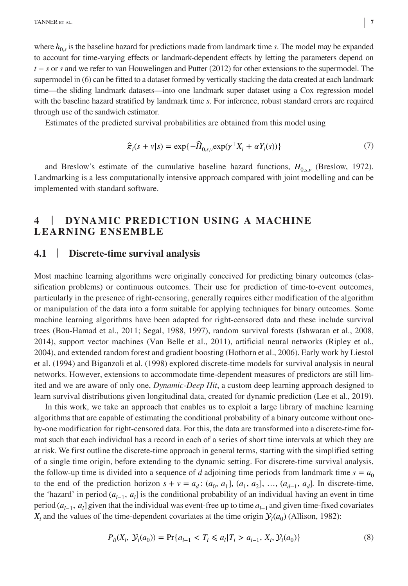where  $h_{0,s}$  is the baseline hazard for predictions made from landmark time *s*. The model may be expanded to account for time-varying effects or landmark-dependent effects by letting the parameters depend on *t* − *s* or *s* and we refer to van Houwelingen and Putter (2012) for other extensions to the supermodel. The supermodel in (6) can be fitted to a dataset formed by vertically stacking the data created at each landmark time—the sliding landmark datasets—into one landmark super dataset using a Cox regression model with the baseline hazard stratified by landmark time *s*. For inference, robust standard errors are required through use of the sandwich estimator.

Estimates of the predicted survival probabilities are obtained from this model using

$$
\widehat{\pi}_i(s+\nu|s) = \exp\{-\widehat{H}_{0,s,\nu}\exp(\gamma^\top X_i + \alpha Y_i(s))\}\tag{7}
$$

and Breslow's estimate of the cumulative baseline hazard functions,  $H_{0,s,y}$  (Breslow, 1972). Landmarking is a less computationally intensive approach compared with joint modelling and can be implemented with standard software.

# **4** | **DYNAMIC PREDICTION USING A MACHINE LEARNING ENSEMBLE**

# **4.1** | **Discrete-time survival analysis**

Most machine learning algorithms were originally conceived for predicting binary outcomes (classification problems) or continuous outcomes. Their use for prediction of time-to-event outcomes, particularly in the presence of right-censoring, generally requires either modification of the algorithm or manipulation of the data into a form suitable for applying techniques for binary outcomes. Some machine learning algorithms have been adapted for right-censored data and these include survival trees (Bou-Hamad et al., 2011; Segal, 1988, 1997), random survival forests (Ishwaran et al., 2008, 2014), support vector machines (Van Belle et al., 2011), artificial neural networks (Ripley et al., 2004), and extended random forest and gradient boosting (Hothorn et al., 2006). Early work by Liestol et al. (1994) and Biganzoli et al. (1998) explored discrete-time models for survival analysis in neural networks. However, extensions to accommodate time-dependent measures of predictors are still limited and we are aware of only one, *Dynamic-Deep Hit*, a custom deep learning approach designed to learn survival distributions given longitudinal data, created for dynamic prediction (Lee et al., 2019).

In this work, we take an approach that enables us to exploit a large library of machine learning algorithms that are capable of estimating the conditional probability of a binary outcome without oneby-one modification for right-censored data. For this, the data are transformed into a discrete-time format such that each individual has a record in each of a series of short time intervals at which they are at risk. We first outline the discrete-time approach in general terms, starting with the simplified setting of a single time origin, before extending to the dynamic setting. For discrete-time survival analysis, the follow-up time is divided into a sequence of *d* adjoining time periods from landmark time  $s = a_0$ to the end of the prediction horizon  $s + v = a_d$ :  $(a_0, a_1]$ ,  $(a_1, a_2]$ , …,  $(a_{d-1}, a_d]$ . In discrete-time, the 'hazard' in period (*al*−1, *al* ] is the conditional probability of an individual having an event in time period (*al*−1, *al* ] given that the individual was event-free up to time *al*<sup>−</sup>1 and given time-fixed covariates  $X_i$  and the values of the time-dependent covariates at the time origin  $\mathcal{Y}_i(a_0)$  (Allison, 1982):

$$
P_{li}(X_i, \mathcal{Y}_i(a_0)) = \Pr\{a_{l-1} < T_i \leq a_l | T_i > a_{l-1}, X_i, \mathcal{Y}_i(a_0)\}\tag{8}
$$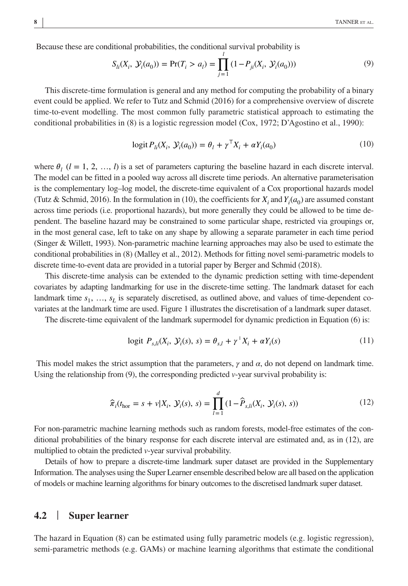Because these are conditional probabilities, the conditional survival probability is

$$
S_{li}(X_i, \mathcal{Y}_i(a_0)) = \Pr(T_i > a_l) = \prod_{j=1}^l (1 - P_{ji}(X_i, \mathcal{Y}_i(a_0)))
$$
\n(9)

This discrete-time formulation is general and any method for computing the probability of a binary event could be applied. We refer to Tutz and Schmid (2016) for a comprehensive overview of discrete time-to-event modelling. The most common fully parametric statistical approach to estimating the conditional probabilities in (8) is a logistic regression model (Cox, 1972; D'Agostino et al., 1990):

$$
logit P_{li}(X_i, \mathcal{Y}_i(a_0)) = \theta_l + \gamma^\top X_i + \alpha Y_i(a_0)
$$
\n(10)

where  $\theta_i$  ( $l = 1, 2, ..., l$ ) is a set of parameters capturing the baseline hazard in each discrete interval. The model can be fitted in a pooled way across all discrete time periods. An alternative parameterisation is the complementary log–log model, the discrete-time equivalent of a Cox proportional hazards model (Tutz & Schmid, 2016). In the formulation in (10), the coefficients for  $X_i$  and  $Y_i(a_0)$  are assumed constant across time periods (i.e. proportional hazards), but more generally they could be allowed to be time dependent. The baseline hazard may be constrained to some particular shape, restricted via groupings or, in the most general case, left to take on any shape by allowing a separate parameter in each time period (Singer & Willett, 1993). Non-parametric machine learning approaches may also be used to estimate the conditional probabilities in (8) (Malley et al., 2012). Methods for fitting novel semi-parametric models to discrete time-to-event data are provided in a tutorial paper by Berger and Schmid (2018).

This discrete-time analysis can be extended to the dynamic prediction setting with time-dependent covariates by adapting landmarking for use in the discrete-time setting. The landmark dataset for each landmark time  $s_1, \ldots, s_L$  is separately discretised, as outlined above, and values of time-dependent covariates at the landmark time are used. Figure 1 illustrates the discretisation of a landmark super dataset.

The discrete-time equivalent of the landmark supermodel for dynamic prediction in Equation (6) is:

$$
logit P_{s,li}(X_i, \mathcal{Y}_i(s), s) = \theta_{s,l} + \gamma^\top X_i + \alpha Y_i(s)
$$
\n(11)

This model makes the strict assumption that the parameters,  $\gamma$  and  $\alpha$ , do not depend on landmark time. Using the relationship from (9), the corresponding predicted *v*-year survival probability is:

$$
\hat{\pi}_i(t_{\text{hor}} = s + \nu | X_i, \mathcal{Y}_i(s), s) = \prod_{l=1}^d (1 - \hat{P}_{s,li}(X_i, \mathcal{Y}_i(s), s))
$$
(12)

For non-parametric machine learning methods such as random forests, model-free estimates of the conditional probabilities of the binary response for each discrete interval are estimated and, as in (12), are multiplied to obtain the predicted *v*-year survival probability.

Details of how to prepare a discrete-time landmark super dataset are provided in the Supplementary Information. The analyses using the Super Learner ensemble described below are all based on the application of models or machine learning algorithms for binary outcomes to the discretised landmark super dataset.

## **4.2** | **Super learner**

The hazard in Equation (8) can be estimated using fully parametric models (e.g. logistic regression), semi-parametric methods (e.g. GAMs) or machine learning algorithms that estimate the conditional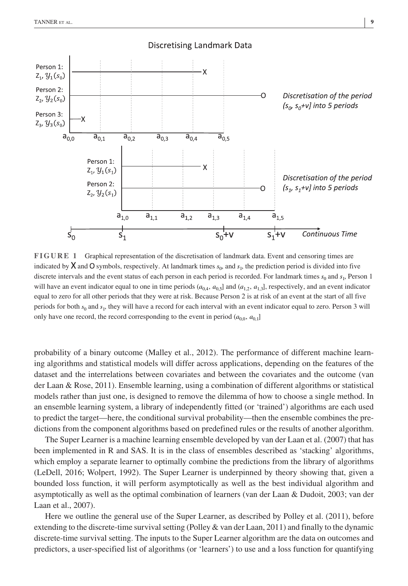

**FIGURE 1** Graphical representation of the discretisation of landmark data. Event and censoring times are indicated by  $X$  and O symbols, respectively. At landmark times  $s_0$ , and  $s_1$ , the prediction period is divided into five discrete intervals and the event status of each person in each period is recorded. For landmark times  $s_0$  and  $s_1$ , Person 1 will have an event indicator equal to one in time periods  $(a_{0,4}, a_{0,5}]$  and  $(a_{1,2}, a_{1,3}]$ , respectively, and an event indicator equal to zero for all other periods that they were at risk. Because Person 2 is at risk of an event at the start of all five periods for both  $s_0$  and  $s_1$ , they will have a record for each interval with an event indicator equal to zero. Person 3 will only have one record, the record corresponding to the event in period  $(a_{0,0}, a_{0,1}]$ 

probability of a binary outcome (Malley et al., 2012). The performance of different machine learning algorithms and statistical models will differ across applications, depending on the features of the dataset and the interrelations between covariates and between the covariates and the outcome (van der Laan & Rose, 2011). Ensemble learning, using a combination of different algorithms or statistical models rather than just one, is designed to remove the dilemma of how to choose a single method. In an ensemble learning system, a library of independently fitted (or 'trained') algorithms are each used to predict the target—here, the conditional survival probability—then the ensemble combines the predictions from the component algorithms based on predefined rules or the results of another algorithm.

The Super Learner is a machine learning ensemble developed by van der Laan et al. (2007) that has been implemented in R and SAS. It is in the class of ensembles described as 'stacking' algorithms, which employ a separate learner to optimally combine the predictions from the library of algorithms (LeDell, 2016; Wolpert, 1992). The Super Learner is underpinned by theory showing that, given a bounded loss function, it will perform asymptotically as well as the best individual algorithm and asymptotically as well as the optimal combination of learners (van der Laan & Dudoit, 2003; van der Laan et al., 2007).

Here we outline the general use of the Super Learner, as described by Polley et al. (2011), before extending to the discrete-time survival setting (Polley & van der Laan, 2011) and finally to the dynamic discrete-time survival setting. The inputs to the Super Learner algorithm are the data on outcomes and predictors, a user-specified list of algorithms (or 'learners') to use and a loss function for quantifying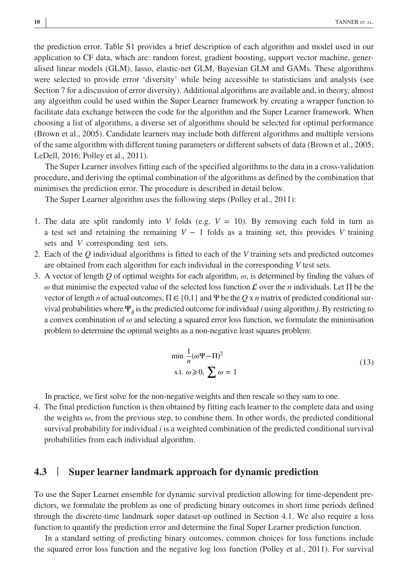the prediction error. Table S1 provides a brief description of each algorithm and model used in our application to CF data, which are: random forest, gradient boosting, support vector machine, generalised linear models (GLM), lasso, elastic-net GLM, Bayesian GLM and GAMs. These algorithms were selected to provide error 'diversity' while being accessible to statisticians and analysts (see Section 7 for a discussion of error diversity). Additional algorithms are available and, in theory, almost any algorithm could be used within the Super Learner framework by creating a wrapper function to facilitate data exchange between the code for the algorithm and the Super Learner framework. When choosing a list of algorithms, a diverse set of algorithms should be selected for optimal performance (Brown et al., 2005). Candidate learners may include both different algorithms and multiple versions of the same algorithm with different tuning parameters or different subsets of data (Brown et al., 2005; LeDell, 2016; Polley et al., 2011).

The Super Learner involves fitting each of the specified algorithms to the data in a cross-validation procedure, and deriving the optimal combination of the algorithms as defined by the combination that minimises the prediction error. The procedure is described in detail below.

The Super Learner algorithm uses the following steps (Polley et al., 2011):

- 1. The data are split randomly into *V* folds (e.g.  $V = 10$ ). By removing each fold in turn as a test set and retaining the remaining  $V - 1$  folds as a training set, this provides V training sets and *V* corresponding test sets.
- 2. Each of the *Q* individual algorithms is fitted to each of the *V* training sets and predicted outcomes are obtained from each algorithm for each individual in the corresponding *V* test sets.
- 3. A vector of length *Q* of optimal weights for each algorithm, *ω*, is determined by finding the values of  $ω$  that minimise the expected value of the selected loss function  $\mathcal L$  over the *n* individuals. Let Π be the vector of length *n* of actual outcomes,  $\Pi \in \{0,1\}$  and Ψ be the *Q* x *n* matrix of predicted conditional survival probabilities where Ψ*ij* is the predicted outcome for individual *i* using algorithm *j*. By restricting to a convex combination of *ω* and selecting a squared error loss function, we formulate the minimisation problem to determine the optimal weights as a non-negative least squares problem:

$$
\min_{n} \frac{1}{n} (\omega \Psi - \Pi)^2
$$
  
s.t.  $\omega \ge 0$ ,  $\sum \omega = 1$  (13)

In practice, we first solve for the non-negative weights and then rescale so they sum to one.

4. The final prediction function is then obtained by fitting each learner to the complete data and using the weights *ω*, from the previous step, to combine them. In other words, the predicted conditional survival probability for individual *i* is a weighted combination of the predicted conditional survival probabilities from each individual algorithm.

#### **4.3** | **Super learner landmark approach for dynamic prediction**

To use the Super Learner ensemble for dynamic survival prediction allowing for time-dependent predictors, we formulate the problem as one of predicting binary outcomes in short time periods defined through the discrete-time landmark super dataset-up outlined in Section 4.1. We also require a loss function to quantify the prediction error and determine the final Super Learner prediction function.

In a standard setting of predicting binary outcomes, common choices for loss functions include the squared error loss function and the negative log loss function (Polley et al., 2011). For survival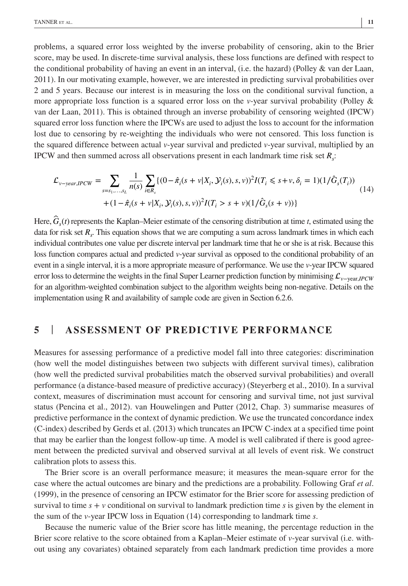problems, a squared error loss weighted by the inverse probability of censoring, akin to the Brier score, may be used. In discrete-time survival analysis, these loss functions are defined with respect to the conditional probability of having an event in an interval, (i.e. the hazard) (Polley & van der Laan, 2011). In our motivating example, however, we are interested in predicting survival probabilities over 2 and 5 years. Because our interest is in measuring the loss on the conditional survival function, a more appropriate loss function is a squared error loss on the *v*-year survival probability (Polley & van der Laan, 2011). This is obtained through an inverse probability of censoring weighted (IPCW) squared error loss function where the IPCWs are used to adjust the loss to account for the information lost due to censoring by re-weighting the individuals who were not censored. This loss function is the squared difference between actual *v*-year survival and predicted *v*-year survival, multiplied by an IPCW and then summed across all observations present in each landmark time risk set  $R_s$ :

$$
\mathcal{L}_{\nu-\text{year},IPCW} = \sum_{s=s_1,\dots,s_L} \frac{1}{n(s)} \sum_{i \in R_s} \{ (0 - \hat{\pi}_i(s + \nu | X_i, \mathcal{Y}_i(s), s, \nu))^2 I(T_i \leq s + \nu, \delta_i = 1) (1/\hat{G}_s(T_i)) + (1 - \hat{\pi}_i(s + \nu | X_i, \mathcal{Y}_i(s), s, \nu))^2 I(T_i > s + \nu) (1/\hat{G}_s(s + \nu)) \}
$$
(14)

Here,  $G_s(t)$  represents the Kaplan–Meier estimate of the censoring distribution at time *t*, estimated using the data for risk set *Rs* . This equation shows that we are computing a sum across landmark times in which each individual contributes one value per discrete interval per landmark time that he or she is at risk. Because this loss function compares actual and predicted *v*-year survival as opposed to the conditional probability of an event in a single interval, it is a more appropriate measure of performance. We use the *v*-year IPCW squared error loss to determine the weights in the final Super Learner prediction function by minimising *<sup>v</sup>*−year,*IPCW* for an algorithm-weighted combination subject to the algorithm weights being non-negative. Details on the implementation using R and availability of sample code are given in Section 6.2.6.

# **5** | **ASSESSMENT OF PREDICTIVE PERFORMANCE**

Measures for assessing performance of a predictive model fall into three categories: discrimination (how well the model distinguishes between two subjects with different survival times), calibration (how well the predicted survival probabilities match the observed survival probabilities) and overall performance (a distance-based measure of predictive accuracy) (Steyerberg et al., 2010). In a survival context, measures of discrimination must account for censoring and survival time, not just survival status (Pencina et al., 2012). van Houwelingen and Putter (2012, Chap. 3) summarise measures of predictive performance in the context of dynamic prediction. We use the truncated concordance index (C-index) described by Gerds et al. (2013) which truncates an IPCW C-index at a specified time point that may be earlier than the longest follow-up time. A model is well calibrated if there is good agreement between the predicted survival and observed survival at all levels of event risk. We construct calibration plots to assess this.

The Brier score is an overall performance measure; it measures the mean-square error for the case where the actual outcomes are binary and the predictions are a probability. Following Graf *et al*. (1999), in the presence of censoring an IPCW estimator for the Brier score for assessing prediction of survival to time  $s + v$  conditional on survival to landmark prediction time s is given by the element in the sum of the *v*-year IPCW loss in Equation (14) corresponding to landmark time *s*.

Because the numeric value of the Brier score has little meaning, the percentage reduction in the Brier score relative to the score obtained from a Kaplan–Meier estimate of *v*-year survival (i.e. without using any covariates) obtained separately from each landmark prediction time provides a more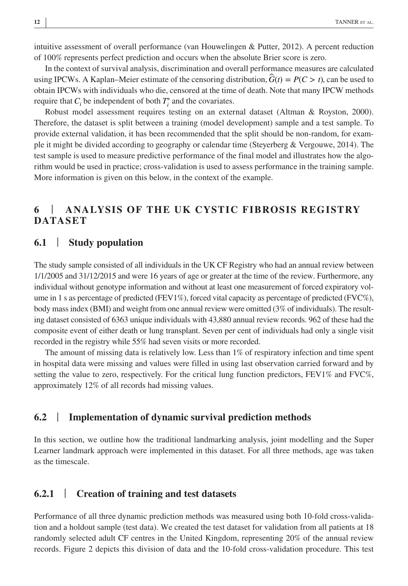intuitive assessment of overall performance (van Houwelingen & Putter, 2012). A percent reduction of 100% represents perfect prediction and occurs when the absolute Brier score is zero.

In the context of survival analysis, discrimination and overall performance measures are calculated using IPCWs. A Kaplan–Meier estimate of the censoring distribution,  $\hat{G}(t) = P(C > t)$ , can be used to obtain IPCWs with individuals who die, censored at the time of death. Note that many IPCW methods require that  $C_i$  be independent of both  $T_i^*$  and the covariates.

Robust model assessment requires testing on an external dataset (Altman & Royston, 2000). Therefore, the dataset is split between a training (model development) sample and a test sample. To provide external validation, it has been recommended that the split should be non-random, for example it might be divided according to geography or calendar time (Steyerberg & Vergouwe, 2014). The test sample is used to measure predictive performance of the final model and illustrates how the algorithm would be used in practice; cross-validation is used to assess performance in the training sample. More information is given on this below, in the context of the example.

# **6** | **ANALYSIS OF THE UK CYSTIC FIBROSIS REGISTRY DATASET**

# **6.1** | **Study population**

The study sample consisted of all individuals in the UK CF Registry who had an annual review between 1/1/2005 and 31/12/2015 and were 16 years of age or greater at the time of the review. Furthermore, any individual without genotype information and without at least one measurement of forced expiratory volume in 1 s as percentage of predicted (FEV1%), forced vital capacity as percentage of predicted (FVC%), body mass index (BMI) and weight from one annual review were omitted (3% of individuals). The resulting dataset consisted of 6363 unique individuals with 43,880 annual review records. 962 of these had the composite event of either death or lung transplant. Seven per cent of individuals had only a single visit recorded in the registry while 55% had seven visits or more recorded.

The amount of missing data is relatively low. Less than 1% of respiratory infection and time spent in hospital data were missing and values were filled in using last observation carried forward and by setting the value to zero, respectively. For the critical lung function predictors, FEV1% and FVC%, approximately 12% of all records had missing values.

# **6.2** | **Implementation of dynamic survival prediction methods**

In this section, we outline how the traditional landmarking analysis, joint modelling and the Super Learner landmark approach were implemented in this dataset. For all three methods, age was taken as the timescale.

## **6.2.1** | **Creation of training and test datasets**

Performance of all three dynamic prediction methods was measured using both 10-fold cross-validation and a holdout sample (test data). We created the test dataset for validation from all patients at 18 randomly selected adult CF centres in the United Kingdom, representing 20% of the annual review records. Figure 2 depicts this division of data and the 10-fold cross-validation procedure. This test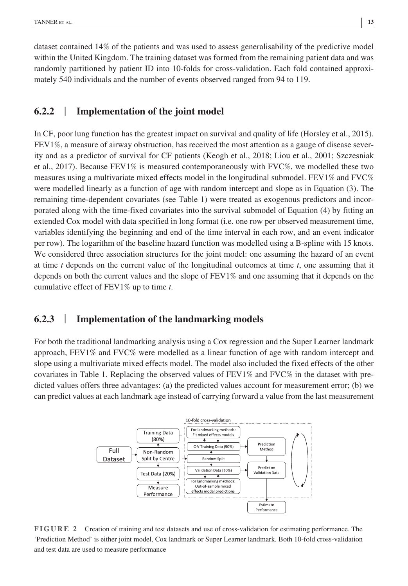dataset contained 14% of the patients and was used to assess generalisability of the predictive model within the United Kingdom. The training dataset was formed from the remaining patient data and was randomly partitioned by patient ID into 10-folds for cross-validation. Each fold contained approximately 540 individuals and the number of events observed ranged from 94 to 119.

# **6.2.2** | **Implementation of the joint model**

In CF, poor lung function has the greatest impact on survival and quality of life (Horsley et al., 2015). FEV1%, a measure of airway obstruction, has received the most attention as a gauge of disease severity and as a predictor of survival for CF patients (Keogh et al., 2018; Liou et al., 2001; Szczesniak et al., 2017). Because FEV1% is measured contemporaneously with FVC%, we modelled these two measures using a multivariate mixed effects model in the longitudinal submodel. FEV1% and FVC% were modelled linearly as a function of age with random intercept and slope as in Equation (3). The remaining time-dependent covariates (see Table 1) were treated as exogenous predictors and incorporated along with the time-fixed covariates into the survival submodel of Equation (4) by fitting an extended Cox model with data specified in long format (i.e. one row per observed measurement time, variables identifying the beginning and end of the time interval in each row, and an event indicator per row). The logarithm of the baseline hazard function was modelled using a B-spline with 15 knots. We considered three association structures for the joint model: one assuming the hazard of an event at time *t* depends on the current value of the longitudinal outcomes at time *t*, one assuming that it depends on both the current values and the slope of FEV1% and one assuming that it depends on the cumulative effect of FEV1% up to time *t*.

# **6.2.3** | **Implementation of the landmarking models**

For both the traditional landmarking analysis using a Cox regression and the Super Learner landmark approach, FEV1% and FVC% were modelled as a linear function of age with random intercept and slope using a multivariate mixed effects model. The model also included the fixed effects of the other covariates in Table 1. Replacing the observed values of FEV1% and FVC% in the dataset with predicted values offers three advantages: (a) the predicted values account for measurement error; (b) we can predict values at each landmark age instead of carrying forward a value from the last measurement



**FIGURE 2** Creation of training and test datasets and use of cross-validation for estimating performance. The 'Prediction Method' is either joint model, Cox landmark or Super Learner landmark. Both 10-fold cross-validation and test data are used to measure performance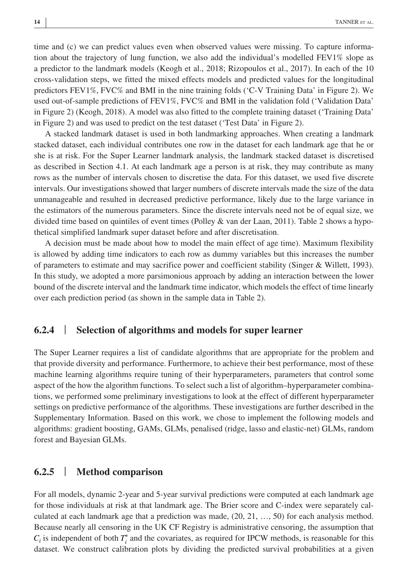time and (c) we can predict values even when observed values were missing. To capture information about the trajectory of lung function, we also add the individual's modelled FEV1% slope as a predictor to the landmark models (Keogh et al., 2018; Rizopoulos et al., 2017). In each of the 10 cross-validation steps, we fitted the mixed effects models and predicted values for the longitudinal predictors FEV1%, FVC% and BMI in the nine training folds ('C-V Training Data' in Figure 2). We used out-of-sample predictions of FEV1%, FVC% and BMI in the validation fold ('Validation Data' in Figure 2) (Keogh, 2018). A model was also fitted to the complete training dataset ('Training Data' in Figure 2) and was used to predict on the test dataset ('Test Data' in Figure 2).

A stacked landmark dataset is used in both landmarking approaches. When creating a landmark stacked dataset, each individual contributes one row in the dataset for each landmark age that he or she is at risk. For the Super Learner landmark analysis, the landmark stacked dataset is discretised as described in Section 4.1. At each landmark age a person is at risk, they may contribute as many rows as the number of intervals chosen to discretise the data. For this dataset, we used five discrete intervals. Our investigations showed that larger numbers of discrete intervals made the size of the data unmanageable and resulted in decreased predictive performance, likely due to the large variance in the estimators of the numerous parameters. Since the discrete intervals need not be of equal size, we divided time based on quintiles of event times (Polley & van der Laan, 2011). Table 2 shows a hypothetical simplified landmark super dataset before and after discretisation.

A decision must be made about how to model the main effect of age time). Maximum flexibility is allowed by adding time indicators to each row as dummy variables but this increases the number of parameters to estimate and may sacrifice power and coefficient stability (Singer & Willett, 1993). In this study, we adopted a more parsimonious approach by adding an interaction between the lower bound of the discrete interval and the landmark time indicator, which models the effect of time linearly over each prediction period (as shown in the sample data in Table 2).

#### **6.2.4** | **Selection of algorithms and models for super learner**

The Super Learner requires a list of candidate algorithms that are appropriate for the problem and that provide diversity and performance. Furthermore, to achieve their best performance, most of these machine learning algorithms require tuning of their hyperparameters, parameters that control some aspect of the how the algorithm functions. To select such a list of algorithm–hyperparameter combinations, we performed some preliminary investigations to look at the effect of different hyperparameter settings on predictive performance of the algorithms. These investigations are further described in the Supplementary Information. Based on this work, we chose to implement the following models and algorithms: gradient boosting, GAMs, GLMs, penalised (ridge, lasso and elastic-net) GLMs, random forest and Bayesian GLMs.

## **6.2.5** | **Method comparison**

For all models, dynamic 2-year and 5-year survival predictions were computed at each landmark age for those individuals at risk at that landmark age. The Brier score and C-index were separately calculated at each landmark age that a prediction was made,  $(20, 21, ..., 50)$  for each analysis method. Because nearly all censoring in the UK CF Registry is administrative censoring, the assumption that  $C_i$  is independent of both  $T_i^*$  and the covariates, as required for IPCW methods, is reasonable for this dataset. We construct calibration plots by dividing the predicted survival probabilities at a given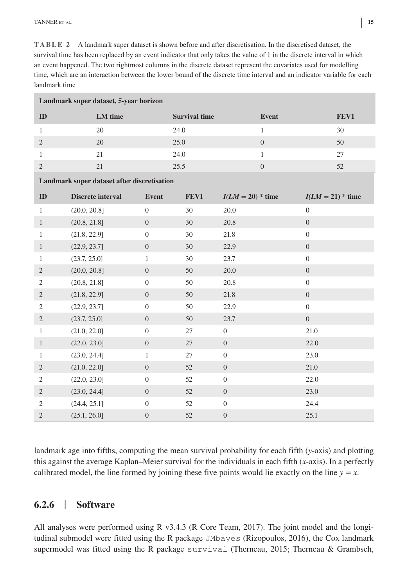**TABLE 2** A landmark super dataset is shown before and after discretisation. In the discretised dataset, the survival time has been replaced by an event indicator that only takes the value of 1 in the discrete interval in which an event happened. The two rightmost columns in the discrete dataset represent the covariates used for modelling time, which are an interaction between the lower bound of the discrete time interval and an indicator variable for each landmark time

#### **Landmark super dataset, 5-year horizon**

| ID         | LM time | <b>Survival time</b> | <b>Event</b> | FEV1 |
|------------|---------|----------------------|--------------|------|
|            | 20      | 24.0                 |              | 30   |
| 2          | 20      | 25.0                 |              | 50   |
|            | 21      | 24.0                 |              | 27   |
| $\bigcirc$ |         | 25.5                 |              |      |

**Landmark super dataset after discretisation**

| ID             | Discrete interval | Event            | FEV1 | $I(LM = 20)$ * time | $I(LM = 21)$ * time |
|----------------|-------------------|------------------|------|---------------------|---------------------|
| $\mathbf{1}$   | (20.0, 20.8]      | $\theta$         | 30   | 20.0                | $\boldsymbol{0}$    |
| $\mathbf{1}$   | (20.8, 21.8]      | $\theta$         | 30   | 20.8                | $\boldsymbol{0}$    |
| 1              | (21.8, 22.9]      | $\boldsymbol{0}$ | 30   | 21.8                | $\boldsymbol{0}$    |
| $\mathbf{1}$   | (22.9, 23.7)      | $\boldsymbol{0}$ | 30   | 22.9                | $\boldsymbol{0}$    |
| 1              | (23.7, 25.0]      | $\mathbf{1}$     | 30   | 23.7                | $\boldsymbol{0}$    |
| 2              | (20.0, 20.8]      | $\boldsymbol{0}$ | 50   | 20.0                | $\boldsymbol{0}$    |
| 2              | (20.8, 21.8]      | $\boldsymbol{0}$ | 50   | 20.8                | $\boldsymbol{0}$    |
| $\mathfrak{2}$ | (21.8, 22.9]      | $\theta$         | 50   | 21.8                | $\boldsymbol{0}$    |
| $\overline{2}$ | (22.9, 23.7)      | $\boldsymbol{0}$ | 50   | 22.9                | $\boldsymbol{0}$    |
| $\overline{2}$ | (23.7, 25.0]      | $\theta$         | 50   | 23.7                | $\mathbf{0}$        |
| 1              | (21.0, 22.0]      | $\boldsymbol{0}$ | 27   | $\boldsymbol{0}$    | 21.0                |
| $\mathbf{1}$   | (22.0, 23.0]      | $\theta$         | 27   | $\mathbf{0}$        | 22.0                |
| 1              | (23.0, 24.4]      | $\mathbf{1}$     | 27   | $\boldsymbol{0}$    | 23.0                |
| $\overline{2}$ | (21.0, 22.0]      | $\theta$         | 52   | $\boldsymbol{0}$    | 21.0                |
| 2              | (22.0, 23.0]      | $\boldsymbol{0}$ | 52   | $\theta$            | 22.0                |
| 2              | (23.0, 24.4]      | $\theta$         | 52   | $\mathbf{0}$        | 23.0                |
| 2              | (24.4, 25.1]      | $\mathbf{0}$     | 52   | $\mathbf{0}$        | 24.4                |
| $\overline{2}$ | (25.1, 26.0]      | $\boldsymbol{0}$ | 52   | $\boldsymbol{0}$    | 25.1                |

landmark age into fifths, computing the mean survival probability for each fifth (*y*-axis) and plotting this against the average Kaplan–Meier survival for the individuals in each fifth (*x*-axis). In a perfectly calibrated model, the line formed by joining these five points would lie exactly on the line  $y = x$ .

# **6.2.6** | **Software**

All analyses were performed using R v3.4.3 (R Core Team, 2017). The joint model and the longitudinal submodel were fitted using the R package JMbayes (Rizopoulos, 2016), the Cox landmark supermodel was fitted using the R package survival (Therneau, 2015; Therneau & Grambsch,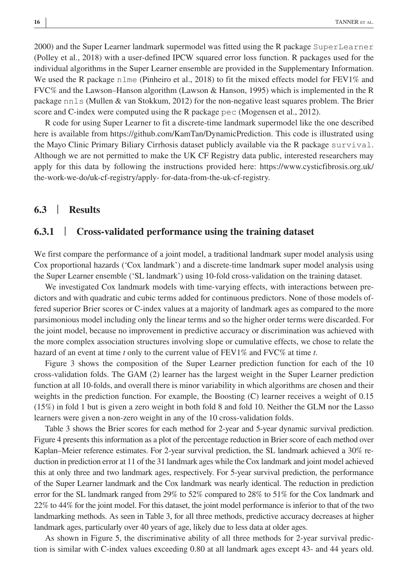2000) and the Super Learner landmark supermodel was fitted using the R package SuperLearner (Polley et al., 2018) with a user-defined IPCW squared error loss function. R packages used for the individual algorithms in the Super Learner ensemble are provided in the Supplementary Information. We used the R package nlme (Pinheiro et al., 2018) to fit the mixed effects model for FEV1% and FVC% and the Lawson–Hanson algorithm (Lawson & Hanson, 1995) which is implemented in the R package nnls (Mullen & van Stokkum, 2012) for the non-negative least squares problem. The Brier score and C-index were computed using the R package pec (Mogensen et al., 2012).

R code for using Super Learner to fit a discrete-time landmark supermodel like the one described here is available from <https://github.com/KamTan/DynamicPrediction>. This code is illustrated using the Mayo Clinic Primary Biliary Cirrhosis dataset publicly available via the R package survival. Although we are not permitted to make the UK CF Registry data public, interested researchers may apply for this data by following the instructions provided here: [https://www.cysticfibrosis.org.uk/](https://www.cysticfibrosis.org.uk/the) [the-](https://www.cysticfibrosis.org.uk/the)work-we-do/uk-cf-registry/apply- for-data-from-the-uk-cf-registry.

#### **6.3** | **Results**

# **6.3.1** | **Cross-validated performance using the training dataset**

We first compare the performance of a joint model, a traditional landmark super model analysis using Cox proportional hazards ('Cox landmark') and a discrete-time landmark super model analysis using the Super Learner ensemble ('SL landmark') using 10-fold cross-validation on the training dataset.

We investigated Cox landmark models with time-varying effects, with interactions between predictors and with quadratic and cubic terms added for continuous predictors. None of those models offered superior Brier scores or C-index values at a majority of landmark ages as compared to the more parsimonious model including only the linear terms and so the higher order terms were discarded. For the joint model, because no improvement in predictive accuracy or discrimination was achieved with the more complex association structures involving slope or cumulative effects, we chose to relate the hazard of an event at time *t* only to the current value of FEV1% and FVC% at time *t*.

Figure 3 shows the composition of the Super Learner prediction function for each of the 10 cross-validation folds. The GAM (2) learner has the largest weight in the Super Learner prediction function at all 10-folds, and overall there is minor variability in which algorithms are chosen and their weights in the prediction function. For example, the Boosting (C) learner receives a weight of 0.15 (15%) in fold 1 but is given a zero weight in both fold 8 and fold 10. Neither the GLM nor the Lasso learners were given a non-zero weight in any of the 10 cross-validation folds.

Table 3 shows the Brier scores for each method for 2-year and 5-year dynamic survival prediction. Figure 4 presents this information as a plot of the percentage reduction in Brier score of each method over Kaplan–Meier reference estimates. For 2-year survival prediction, the SL landmark achieved a 30% reduction in prediction error at 11 of the 31 landmark ages while the Cox landmark and joint model achieved this at only three and two landmark ages, respectively. For 5-year survival prediction, the performance of the Super Learner landmark and the Cox landmark was nearly identical. The reduction in prediction error for the SL landmark ranged from 29% to 52% compared to 28% to 51% for the Cox landmark and 22% to 44% for the joint model. For this dataset, the joint model performance is inferior to that of the two landmarking methods. As seen in Table 3, for all three methods, predictive accuracy decreases at higher landmark ages, particularly over 40 years of age, likely due to less data at older ages.

As shown in Figure 5, the discriminative ability of all three methods for 2-year survival prediction is similar with C-index values exceeding 0.80 at all landmark ages except 43- and 44 years old.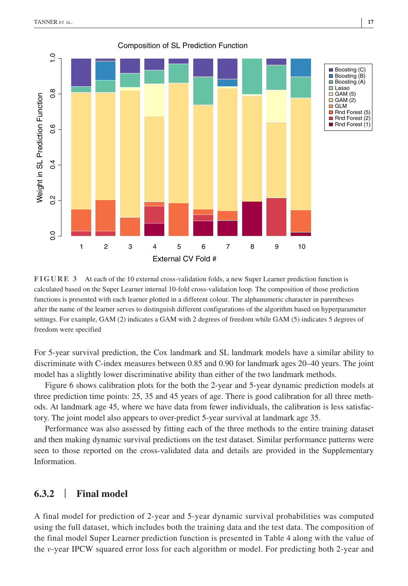

**FIGURE 3** At each of the 10 external cross-validation folds, a new Super Learner prediction function is calculated based on the Super Learner internal 10-fold cross-validation loop. The composition of those prediction functions is presented with each learner plotted in a different colour. The alphanumeric character in parentheses after the name of the learner serves to distinguish different configurations of the algorithm based on hyperparameter settings. For example, GAM (2) indicates a GAM with 2 degrees of freedom while GAM (5) indicates 5 degrees of freedom were specified

For 5-year survival prediction, the Cox landmark and SL landmark models have a similar ability to discriminate with C-index measures between 0.85 and 0.90 for landmark ages 20–40 years. The joint model has a slightly lower discriminative ability than either of the two landmark methods.

Figure 6 shows calibration plots for the both the 2-year and 5-year dynamic prediction models at three prediction time points: 25, 35 and 45 years of age. There is good calibration for all three methods. At landmark age 45, where we have data from fewer individuals, the calibration is less satisfactory. The joint model also appears to over-predict 5-year survival at landmark age 35.

Performance was also assessed by fitting each of the three methods to the entire training dataset and then making dynamic survival predictions on the test dataset. Similar performance patterns were seen to those reported on the cross-validated data and details are provided in the Supplementary Information.

# **6.3.2** | **Final model**

A final model for prediction of 2-year and 5-year dynamic survival probabilities was computed using the full dataset, which includes both the training data and the test data. The composition of the final model Super Learner prediction function is presented in Table 4 along with the value of the *v*-year IPCW squared error loss for each algorithm or model. For predicting both 2-year and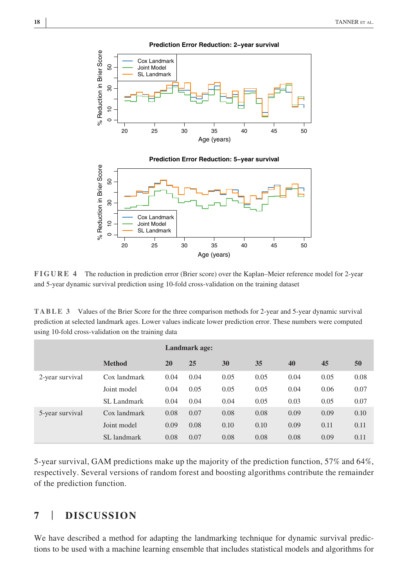

**FIGURE 4** The reduction in prediction error (Brier score) over the Kaplan–Meier reference model for 2-year and 5-year dynamic survival prediction using 10-fold cross-validation on the training dataset

**TABLE 3** Values of the Brier Score for the three comparison methods for 2-year and 5-year dynamic survival prediction at selected landmark ages. Lower values indicate lower prediction error. These numbers were computed using 10-fold cross-validation on the training data

|                 |               | Landmark age: |      |      |      |      |      |      |
|-----------------|---------------|---------------|------|------|------|------|------|------|
|                 | <b>Method</b> | 20            | 25   | 30   | 35   | 40   | 45   | 50   |
| 2-year survival | Cox landmark  | 0.04          | 0.04 | 0.05 | 0.05 | 0.04 | 0.05 | 0.08 |
|                 | Joint model   | 0.04          | 0.05 | 0.05 | 0.05 | 0.04 | 0.06 | 0.07 |
|                 | SL Landmark   | 0.04          | 0.04 | 0.04 | 0.05 | 0.03 | 0.05 | 0.07 |
| 5-year survival | Cox landmark  | 0.08          | 0.07 | 0.08 | 0.08 | 0.09 | 0.09 | 0.10 |
|                 | Joint model   | 0.09          | 0.08 | 0.10 | 0.10 | 0.09 | 0.11 | 0.11 |
|                 | SL landmark   | 0.08          | 0.07 | 0.08 | 0.08 | 0.08 | 0.09 | 0.11 |

5-year survival, GAM predictions make up the majority of the prediction function, 57% and 64%, respectively. Several versions of random forest and boosting algorithms contribute the remainder of the prediction function.

# **7** | **DISCUSSION**

We have described a method for adapting the landmarking technique for dynamic survival predictions to be used with a machine learning ensemble that includes statistical models and algorithms for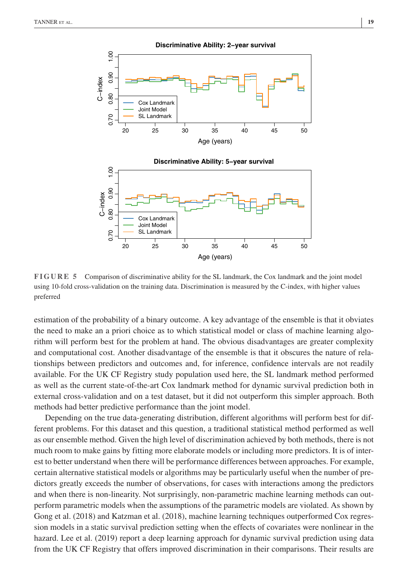

**FIGURE 5** Comparison of discriminative ability for the SL landmark, the Cox landmark and the joint model using 10-fold cross-validation on the training data. Discrimination is measured by the C-index, with higher values preferred

estimation of the probability of a binary outcome. A key advantage of the ensemble is that it obviates the need to make an a priori choice as to which statistical model or class of machine learning algorithm will perform best for the problem at hand. The obvious disadvantages are greater complexity and computational cost. Another disadvantage of the ensemble is that it obscures the nature of relationships between predictors and outcomes and, for inference, confidence intervals are not readily available. For the UK CF Registry study population used here, the SL landmark method performed as well as the current state-of-the-art Cox landmark method for dynamic survival prediction both in external cross-validation and on a test dataset, but it did not outperform this simpler approach. Both methods had better predictive performance than the joint model.

Depending on the true data-generating distribution, different algorithms will perform best for different problems. For this dataset and this question, a traditional statistical method performed as well as our ensemble method. Given the high level of discrimination achieved by both methods, there is not much room to make gains by fitting more elaborate models or including more predictors. It is of interest to better understand when there will be performance differences between approaches. For example, certain alternative statistical models or algorithms may be particularly useful when the number of predictors greatly exceeds the number of observations, for cases with interactions among the predictors and when there is non-linearity. Not surprisingly, non-parametric machine learning methods can outperform parametric models when the assumptions of the parametric models are violated. As shown by Gong et al. (2018) and Katzman et al. (2018), machine learning techniques outperformed Cox regression models in a static survival prediction setting when the effects of covariates were nonlinear in the hazard. Lee et al. (2019) report a deep learning approach for dynamic survival prediction using data from the UK CF Registry that offers improved discrimination in their comparisons. Their results are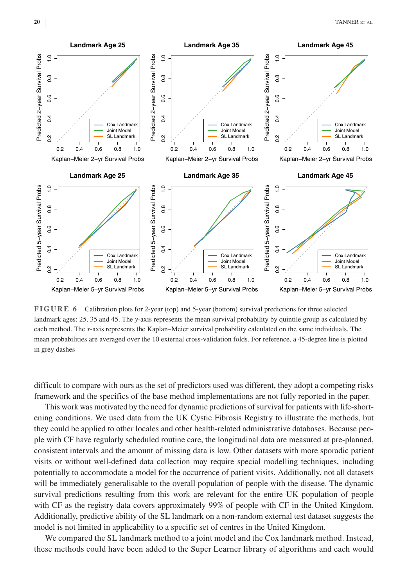

**FIGURE 6** Calibration plots for 2-year (top) and 5-year (bottom) survival predictions for three selected landmark ages: 25, 35 and 45. The *y*-axis represents the mean survival probability by quintile group as calculated by each method. The *x*-axis represents the Kaplan–Meier survival probability calculated on the same individuals. The mean probabilities are averaged over the 10 external cross-validation folds. For reference, a 45-degree line is plotted in grey dashes

difficult to compare with ours as the set of predictors used was different, they adopt a competing risks framework and the specifics of the base method implementations are not fully reported in the paper.

This work was motivated by the need for dynamic predictions of survival for patients with life-shortening conditions. We used data from the UK Cystic Fibrosis Registry to illustrate the methods, but they could be applied to other locales and other health-related administrative databases. Because people with CF have regularly scheduled routine care, the longitudinal data are measured at pre-planned, consistent intervals and the amount of missing data is low. Other datasets with more sporadic patient visits or without well-defined data collection may require special modelling techniques, including potentially to accommodate a model for the occurrence of patient visits. Additionally, not all datasets will be immediately generalisable to the overall population of people with the disease. The dynamic survival predictions resulting from this work are relevant for the entire UK population of people with CF as the registry data covers approximately 99% of people with CF in the United Kingdom. Additionally, predictive ability of the SL landmark on a non-random external test dataset suggests the model is not limited in applicability to a specific set of centres in the United Kingdom.

We compared the SL landmark method to a joint model and the Cox landmark method. Instead, these methods could have been added to the Super Learner library of algorithms and each would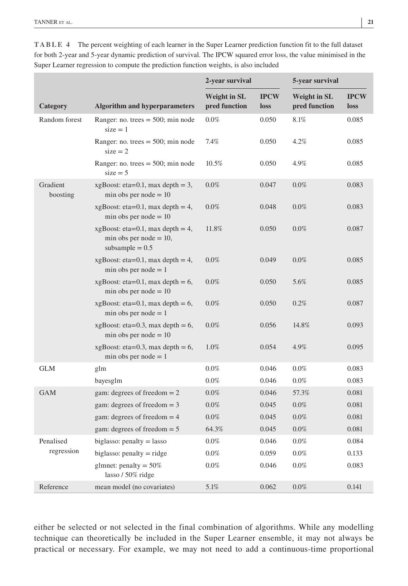|                      |                                                                                    | 2-year survival               |                     | 5-year survival                      |                     |  |
|----------------------|------------------------------------------------------------------------------------|-------------------------------|---------------------|--------------------------------------|---------------------|--|
| Category             | <b>Algorithm and hyperparameters</b>                                               | Weight in SL<br>pred function | <b>IPCW</b><br>loss | <b>Weight in SL</b><br>pred function | <b>IPCW</b><br>loss |  |
| Random forest        | Ranger: no. trees $= 500$ ; min node<br>$size = 1$                                 | $0.0\%$                       | 0.050               | 8.1%                                 | 0.085               |  |
|                      | Ranger: no. trees $= 500$ ; min node<br>$size = 2$                                 | 7.4%                          | 0.050               | 4.2%                                 | 0.085               |  |
|                      | Ranger: no. trees $= 500$ ; min node<br>$size = 5$                                 | 10.5%                         | 0.050               | 4.9%                                 | 0.085               |  |
| Gradient<br>boosting | xgBoost: eta=0.1, max depth = 3,<br>min obs per node $= 10$                        | $0.0\%$                       | 0.047               | 0.0%                                 | 0.083               |  |
|                      | $xgBoost: eta=0.1, max depth = 4,$<br>min obs per node $= 10$                      | $0.0\%$                       | 0.048               | 0.0%                                 | 0.083               |  |
|                      | xgBoost: eta=0.1, max depth = 4,<br>min obs per node $= 10$ ,<br>subsample $= 0.5$ | 11.8%                         | 0.050               | 0.0%                                 | 0.087               |  |
|                      | xgBoost: eta=0.1, max depth = 4,<br>min obs per node $= 1$                         | $0.0\%$                       | 0.049               | $0.0\%$                              | 0.085               |  |
|                      | xgBoost: eta=0.1, max depth = 6,<br>min obs per node $= 10$                        | $0.0\%$                       | 0.050               | 5.6%                                 | 0.085               |  |
|                      | xgBoost: eta=0.1, max depth = $6$ ,<br>min obs per node $= 1$                      | $0.0\%$                       | 0.050               | 0.2%                                 | 0.087               |  |
|                      | xgBoost: eta=0.3, max depth = $6$ ,<br>min obs per node $= 10$                     | $0.0\%$                       | 0.056               | 14.8%                                | 0.093               |  |
|                      | xgBoost: eta=0.3, max depth = $6$ ,<br>min obs per node $= 1$                      | 1.0%                          | 0.054               | 4.9%                                 | 0.095               |  |
| <b>GLM</b>           | glm                                                                                | $0.0\%$                       | 0.046               | $0.0\%$                              | 0.083               |  |
|                      | bayesglm                                                                           | 0.0%                          | 0.046               | $0.0\%$                              | 0.083               |  |
| <b>GAM</b>           | gam: degrees of freedom $= 2$                                                      | $0.0\%$                       | 0.046               | 57.3%                                | 0.081               |  |
|                      | gam: degrees of freedom $= 3$                                                      | $0.0\%$                       | 0.045               | $0.0\%$                              | 0.081               |  |
|                      | gam: degrees of freedom $=$ 4                                                      | $0.0\%$                       | 0.045               | $0.0\%$                              | 0.081               |  |
|                      | gam: degrees of freedom $= 5$                                                      | 64.3%                         | 0.045               | $0.0\%$                              | 0.081               |  |
| Penalised            | biglasso: $penalty = lasso$                                                        | $0.0\%$                       | 0.046               | $0.0\%$                              | 0.084               |  |
| regression           | biglasso: $penalty = ridge$                                                        | $0.0\%$                       | 0.059               | $0.0\%$                              | 0.133               |  |
|                      | glmnet: penalty = $50\%$<br>lasso $/50\%$ ridge                                    | $0.0\%$                       | 0.046               | $0.0\%$                              | 0.083               |  |
| Reference            | mean model (no covariates)                                                         | 5.1%                          | 0.062               | 0.0%                                 | 0.141               |  |

**TABLE 4** The percent weighting of each learner in the Super Learner prediction function fit to the full dataset for both 2-year and 5-year dynamic prediction of survival. The IPCW squared error loss, the value minimised in the Super Learner regression to compute the prediction function weights, is also included

either be selected or not selected in the final combination of algorithms. While any modelling technique can theoretically be included in the Super Learner ensemble, it may not always be practical or necessary. For example, we may not need to add a continuous-time proportional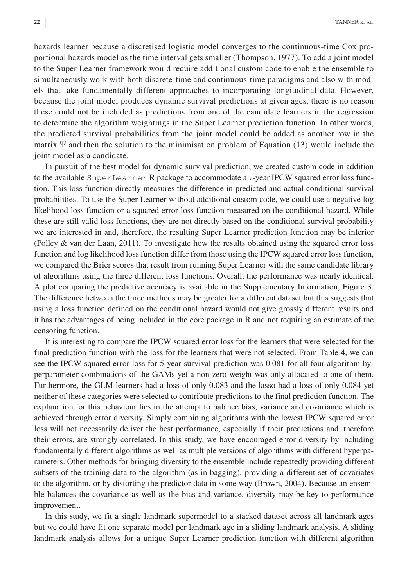hazards learner because a discretised logistic model converges to the continuous-time Cox proportional hazards model as the time interval gets smaller (Thompson, 1977). To add a joint model to the Super Learner framework would require additional custom code to enable the ensemble to simultaneously work with both discrete-time and continuous-time paradigms and also with models that take fundamentally different approaches to incorporating longitudinal data. However, because the joint model produces dynamic survival predictions at given ages, there is no reason these could not be included as predictions from one of the candidate learners in the regression to determine the algorithm weightings in the Super Learner prediction function. In other words, the predicted survival probabilities from the joint model could be added as another row in the matrix  $\Psi$  and then the solution to the minimisation problem of Equation (13) would include the joint model as a candidate.

In pursuit of the best model for dynamic survival prediction, we created custom code in addition to the available SuperLearner R package to accommodate a *v*-year IPCW squared error loss function. This loss function directly measures the difference in predicted and actual conditional survival probabilities. To use the Super Learner without additional custom code, we could use a negative log likelihood loss function or a squared error loss function measured on the conditional hazard. While these are still valid loss functions, they are not directly based on the conditional survival probability we are interested in and, therefore, the resulting Super Learner prediction function may be inferior (Polley & van der Laan, 2011). To investigate how the results obtained using the squared error loss function and log likelihood loss function differ from those using the IPCW squared error loss function, we compared the Brier scores that result from running Super Learner with the same candidate library of algorithms using the three different loss functions. Overall, the performance was nearly identical. A plot comparing the predictive accuracy is available in the Supplementary Information, Figure 3. The difference between the three methods may be greater for a different dataset but this suggests that using a loss function defined on the conditional hazard would not give grossly different results and it has the advantages of being included in the core package in R and not requiring an estimate of the censoring function.

It is interesting to compare the IPCW squared error loss for the learners that were selected for the final prediction function with the loss for the learners that were not selected. From Table 4, we can see the IPCW squared error loss for 5-year survival prediction was 0.081 for all four algorithm-hyperparameter combinations of the GAMs yet a non-zero weight was only allocated to one of them. Furthermore, the GLM learners had a loss of only 0.083 and the lasso had a loss of only 0.084 yet neither of these categories were selected to contribute predictions to the final prediction function. The explanation for this behaviour lies in the attempt to balance bias, variance and covariance which is achieved through error diversity. Simply combining algorithms with the lowest IPCW squared error loss will not necessarily deliver the best performance, especially if their predictions and, therefore their errors, are strongly correlated. In this study, we have encouraged error diversity by including fundamentally different algorithms as well as multiple versions of algorithms with different hyperparameters. Other methods for bringing diversity to the ensemble include repeatedly providing different subsets of the training data to the algorithm (as in bagging), providing a different set of covariates to the algorithm, or by distorting the predictor data in some way (Brown, 2004). Because an ensemble balances the covariance as well as the bias and variance, diversity may be key to performance improvement.

In this study, we fit a single landmark supermodel to a stacked dataset across all landmark ages but we could have fit one separate model per landmark age in a sliding landmark analysis. A sliding landmark analysis allows for a unique Super Learner prediction function with different algorithm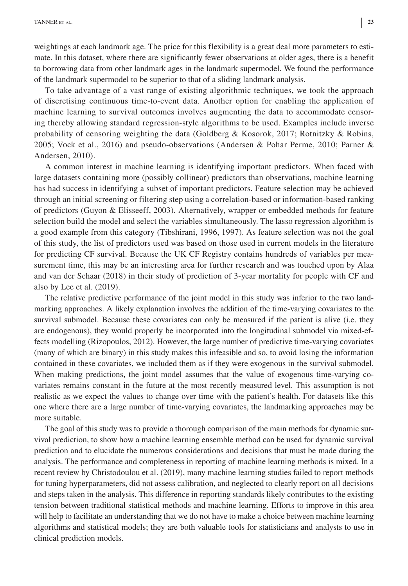weightings at each landmark age. The price for this flexibility is a great deal more parameters to estimate. In this dataset, where there are significantly fewer observations at older ages, there is a benefit to borrowing data from other landmark ages in the landmark supermodel. We found the performance of the landmark supermodel to be superior to that of a sliding landmark analysis.

To take advantage of a vast range of existing algorithmic techniques, we took the approach of discretising continuous time-to-event data. Another option for enabling the application of machine learning to survival outcomes involves augmenting the data to accommodate censoring thereby allowing standard regression-style algorithms to be used. Examples include inverse probability of censoring weighting the data (Goldberg & Kosorok, 2017; Rotnitzky & Robins, 2005; Vock et al., 2016) and pseudo-observations (Andersen & Pohar Perme, 2010; Parner & Andersen, 2010).

A common interest in machine learning is identifying important predictors. When faced with large datasets containing more (possibly collinear) predictors than observations, machine learning has had success in identifying a subset of important predictors. Feature selection may be achieved through an initial screening or filtering step using a correlation-based or information-based ranking of predictors (Guyon & Elisseeff, 2003). Alternatively, wrapper or embedded methods for feature selection build the model and select the variables simultaneously. The lasso regression algorithm is a good example from this category (Tibshirani, 1996, 1997). As feature selection was not the goal of this study, the list of predictors used was based on those used in current models in the literature for predicting CF survival. Because the UK CF Registry contains hundreds of variables per measurement time, this may be an interesting area for further research and was touched upon by Alaa and van der Schaar (2018) in their study of prediction of 3-year mortality for people with CF and also by Lee et al. (2019).

The relative predictive performance of the joint model in this study was inferior to the two landmarking approaches. A likely explanation involves the addition of the time-varying covariates to the survival submodel. Because these covariates can only be measured if the patient is alive (i.e. they are endogenous), they would properly be incorporated into the longitudinal submodel via mixed-effects modelling (Rizopoulos, 2012). However, the large number of predictive time-varying covariates (many of which are binary) in this study makes this infeasible and so, to avoid losing the information contained in these covariates, we included them as if they were exogenous in the survival submodel. When making predictions, the joint model assumes that the value of exogenous time-varying covariates remains constant in the future at the most recently measured level. This assumption is not realistic as we expect the values to change over time with the patient's health. For datasets like this one where there are a large number of time-varying covariates, the landmarking approaches may be more suitable.

The goal of this study was to provide a thorough comparison of the main methods for dynamic survival prediction, to show how a machine learning ensemble method can be used for dynamic survival prediction and to elucidate the numerous considerations and decisions that must be made during the analysis. The performance and completeness in reporting of machine learning methods is mixed. In a recent review by Christodoulou et al. (2019), many machine learning studies failed to report methods for tuning hyperparameters, did not assess calibration, and neglected to clearly report on all decisions and steps taken in the analysis. This difference in reporting standards likely contributes to the existing tension between traditional statistical methods and machine learning. Efforts to improve in this area will help to facilitate an understanding that we do not have to make a choice between machine learning algorithms and statistical models; they are both valuable tools for statisticians and analysts to use in clinical prediction models.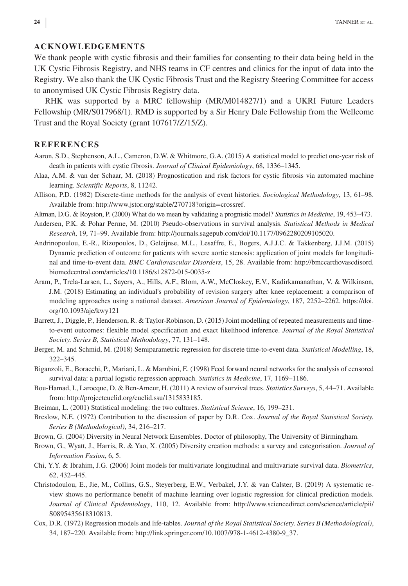# **ACKNOWLEDGEMENTS**

We thank people with cystic fibrosis and their families for consenting to their data being held in the UK Cystic Fibrosis Registry, and NHS teams in CF centres and clinics for the input of data into the Registry. We also thank the UK Cystic Fibrosis Trust and the Registry Steering Committee for access to anonymised UK Cystic Fibrosis Registry data.

RHK was supported by a MRC fellowship (MR/M014827/1) and a UKRI Future Leaders Fellowship (MR/S017968/1). RMD is supported by a Sir Henry Dale Fellowship from the Wellcome Trust and the Royal Society (grant 107617/Z/15/Z).

#### **REFERENCES**

- Aaron, S.D., Stephenson, A.L., Cameron, D.W. & Whitmore, G.A. (2015) A statistical model to predict one-year risk of death in patients with cystic fibrosis. *Journal of Clinical Epidemiology*, 68, 1336–1345.
- Alaa, A.M. & van der Schaar, M. (2018) Prognostication and risk factors for cystic fibrosis via automated machine learning. *Scientific Reports*, 8, 11242.
- Allison, P.D. (1982) Discrete-time methods for the analysis of event histories. *Sociological Methodology*, 13, 61–98. Available from:<http://www.jstor.org/stable/270718?origin=crossref>.
- Altman, D.G. & Royston, P. (2000) What do we mean by validating a prognistic model? *Statistics in Medicine*, 19, 453–473.
- Andersen, P.K. & Pohar Perme, M. (2010) Pseudo-observations in survival analysis. *Statistical Methods in Medical Research*, 19, 71–99. Available from: [http://journals.sagepub.com/doi/10.1177/0962280209105020.](http://journals.sagepub.com/doi/10.1177/0962280209105020)
- Andrinopoulou, E.-R., Rizopoulos, D., Geleijnse, M.L., Lesaffre, E., Bogers, A.J.J.C. & Takkenberg, J.J.M. (2015) Dynamic prediction of outcome for patients with severe aortic stenosis: application of joint models for longitudinal and time-to-event data. *BMC Cardiovascular Disorders*, 15, 28. Available from: [http://bmccardiovascdisord.](http://bmccardiovascdisord.biomedcentral.com/articles/10.1186/s12872 10015-0035-z) [biomedcentral.com/articles/10.1186/s12872-015-0035-z](http://bmccardiovascdisord.biomedcentral.com/articles/10.1186/s12872 10015-0035-z)
- Aram, P., Trela-Larsen, L., Sayers, A., Hills, A.F., Blom, A.W., McCloskey, E.V., Kadirkamanathan, V. & Wilkinson, J.M. (2018) Estimating an individual's probability of revision surgery after knee replacement: a comparison of modeling approaches using a national dataset. *American Journal of Epidemiology*, 187, 2252–2262. [https://doi.](https://doi.org/10.1093/aje/kwy121) [org/10.1093/aje/kwy121](https://doi.org/10.1093/aje/kwy121)
- Barrett, J., Diggle, P., Henderson, R. & Taylor-Robinson, D. (2015) Joint modelling of repeated measurements and timeto-event outcomes: flexible model specification and exact likelihood inference. *Journal of the Royal Statistical Society. Series B, Statistical Methodology*, 77, 131–148.
- Berger, M. and Schmid, M. (2018) Semiparametric regression for discrete time-to-event data. *Statistical Modelling*, 18, 322–345.
- Biganzoli, E., Boracchi, P., Mariani, L. & Marubini, E. (1998) Feed forward neural networks for the analysis of censored survival data: a partial logistic regression approach. *Statistics in Medicine*, 17, 1169–1186.
- Bou-Hamad, I., Larocque, D. & Ben-Ameur, H. (2011) A review of survival trees. *Statistics Surveys*, 5, 44–71. Available from:<http://projecteuclid.org/euclid.ssu/1315833185>.
- Breiman, L. (2001) Statistical modeling: the two cultures. *Statistical Science*, 16, 199–231.
- Breslow, N.E. (1972) Contribution to the discussion of paper by D.R. Cox. *Journal of the Royal Statistical Society. Series B (Methodological)*, 34, 216–217.
- Brown, G. (2004) Diversity in Neural Network Ensembles. Doctor of philosophy, The University of Birmingham.
- Brown, G., Wyatt, J., Harris, R. & Yao, X. (2005) Diversity creation methods: a survey and categorisation. *Journal of Information Fusion*, 6, 5.
- Chi, Y.Y. & Ibrahim, J.G. (2006) Joint models for multivariate longitudinal and multivariate survival data. *Biometrics*, 62, 432–445.
- Christodoulou, E., Jie, M., Collins, G.S., Steyerberg, E.W., Verbakel, J.Y. & van Calster, B. (2019) A systematic review shows no performance benefit of machine learning over logistic regression for clinical prediction models. *Journal of Clinical Epidemiology*, 110, 12. Available from: [http://www.sciencedirect.com/science/article/pii/](http://www.sciencedirect.com/science/article/pii/S0895435618310813) [S0895435618310813](http://www.sciencedirect.com/science/article/pii/S0895435618310813).
- Cox, D.R. (1972) Regression models and life-tables. *Journal of the Royal Statistical Society. Series B (Methodological)*, 34, 187–220. Available from: [http://link.springer.com/10.1007/978-1-4612-4380-9\\_37](http://link.springer.com/10.1007/978-1 104612-4380-9_37).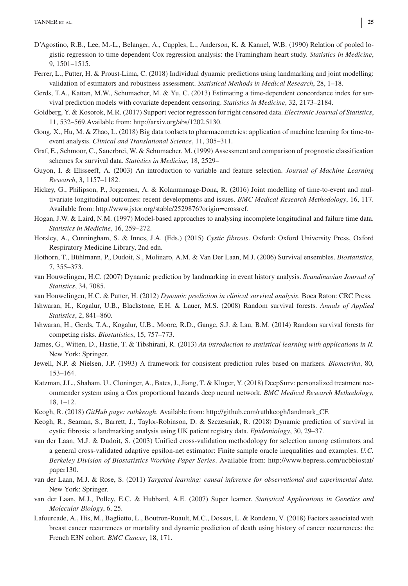- D'Agostino, R.B., Lee, M.-L., Belanger, A., Cupples, L., Anderson, K. & Kannel, W.B. (1990) Relation of pooled logistic regression to time dependent Cox regression analysis: the Framingham heart study. *Statistics in Medicine*, 9, 1501–1515.
- Ferrer, L., Putter, H. & Proust-Lima, C. (2018) Individual dynamic predictions using landmarking and joint modelling: validation of estimators and robustness assessment. *Statistical Methods in Medical Research*, 28, 1–18.
- Gerds, T.A., Kattan, M.W., Schumacher, M. & Yu, C. (2013) Estimating a time-dependent concordance index for survival prediction models with covariate dependent censoring. *Statistics in Medicine*, 32, 2173–2184.
- Goldberg, Y. & Kosorok, M.R. (2017) Support vector regression for right censored data. *Electronic Journal of Statistics*, 11, 532–569.Available from: <http://arxiv.org/abs/1202.5130>.
- Gong, X., Hu, M. & Zhao, L. (2018) Big data toolsets to pharmacometrics: application of machine learning for time-toevent analysis. *Clinical and Translational Science*, 11, 305–311.
- Graf, E., Schmoor, C., Sauerbrei, W. & Schumacher, M. (1999) Assessment and comparison of prognostic classification schemes for survival data. *Statistics in Medicine*, 18, 2529–
- Guyon, I. & Elisseeff, A. (2003) An introduction to variable and feature selection. *Journal of Machine Learning Research*, 3, 1157–1182.
- Hickey, G., Philipson, P., Jorgensen, A. & Kolamunnage-Dona, R. (2016) Joint modelling of time-to-event and multivariate longitudinal outcomes: recent developments and issues. *BMC Medical Research Methodology*, 16, 117. Available from:<http://www.jstor.org/stable/2529876?origin=crossref>.
- Hogan, J.W. & Laird, N.M. (1997) Model-based approaches to analysing incomplete longitudinal and failure time data. *Statistics in Medicine*, 16, 259–272.
- Horsley, A., Cunningham, S. & Innes, J.A. (Eds.) (2015) *Cystic fibrosis*. Oxford: Oxford University Press, Oxford Respiratory Medicine Library, 2nd edn.
- Hothorn, T., Bühlmann, P., Dudoit, S., Molinaro, A.M. & Van Der Laan, M.J. (2006) Survival ensembles. *Biostatistics*, 7, 355–373.
- van Houwelingen, H.C. (2007) Dynamic prediction by landmarking in event history analysis. *Scandinavian Journal of Statistics*, 34, 7085.
- van Houwelingen, H.C. & Putter, H. (2012) *Dynamic prediction in clinical survival analysis*. Boca Raton: CRC Press.
- Ishwaran, H., Kogalur, U.B., Blackstone, E.H. & Lauer, M.S. (2008) Random survival forests. *Annals of Applied Statistics*, 2, 841–860.
- Ishwaran, H., Gerds, T.A., Kogalur, U.B., Moore, R.D., Gange, S.J. & Lau, B.M. (2014) Random survival forests for competing risks. *Biostatistics*, 15, 757–773.
- James, G., Witten, D., Hastie, T. & Tibshirani, R. (2013) *An introduction to statistical learning with applications in R*. New York: Springer.
- Jewell, N.P. & Nielsen, J.P. (1993) A framework for consistent prediction rules based on markers. *Biometrika*, 80, 153–164.
- Katzman, J.L., Shaham, U., Cloninger, A., Bates, J., Jiang, T. & Kluger, Y. (2018) DeepSurv: personalized treatment recommender system using a Cox proportional hazards deep neural network. *BMC Medical Research Methodology*, 18, 1–12.
- Keogh, R. (2018) *GitHub page: ruthkeogh*. Available from: [http://github.com/ruthkeogh/landmark\\_CF.](http://github.com/ruthkeogh/landmark_CF)
- Keogh, R., Seaman, S., Barrett, J., Taylor-Robinson, D. & Szczesniak, R. (2018) Dynamic prediction of survival in cystic fibrosis: a landmarking analysis using UK patient registry data. *Epidemiology*, 30, 29–37.
- van der Laan, M.J. & Dudoit, S. (2003) Unified cross-validation methodology for selection among estimators and a general cross-validated adaptive epsilon-net estimator: Finite sample oracle inequalities and examples. *U.C. Berkeley Division of Biostatistics Working Paper Series*. Available from: [http://www.bepress.com/ucbbiostat/](http://www.bepress.com/ucbbiostat/paper130) [paper130.](http://www.bepress.com/ucbbiostat/paper130)
- van der Laan, M.J. & Rose, S. (2011) *Targeted learning: causal inference for observational and experimental data*. New York: Springer.
- van der Laan, M.J., Polley, E.C. & Hubbard, A.E. (2007) Super learner. *Statistical Applications in Genetics and Molecular Biology*, 6, 25.
- Lafourcade, A., His, M., Baglietto, L., Boutron-Ruault, M.C., Dossus, L. & Rondeau, V. (2018) Factors associated with breast cancer recurrences or mortality and dynamic prediction of death using history of cancer recurrences: the French E3N cohort. *BMC Cancer*, 18, 171.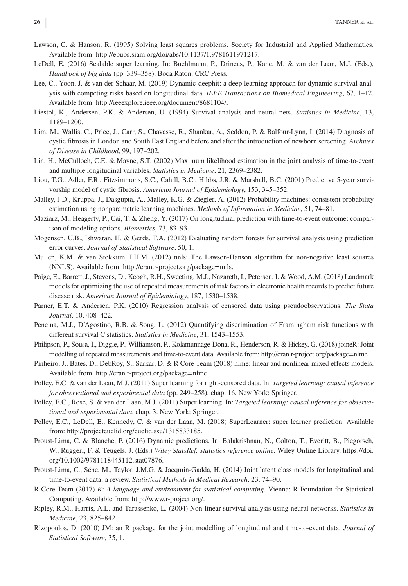- Lawson, C. & Hanson, R. (1995) Solving least squares problems. Society for Industrial and Applied Mathematics. Available from: [http://epubs.siam.org/doi/abs/10.1137/1.9781611971217.](http://epubs.siam.org/doi/abs/10.1137/1.9781611971217)
- LeDell, E. (2016) Scalable super learning. In: Buehlmann, P., Drineas, P., Kane, M. & van der Laan, M.J. (Eds.), *Handbook of big data* (pp. 339–358). Boca Raton: CRC Press.
- Lee, C., Yoon, J. & van der Schaar, M. (2019) Dynamic-deephit: a deep learning approach for dynamic survival analysis with competing risks based on longitudinal data. *IEEE Transactions on Biomedical Engineering*, 67, 1–12. Available from:<http://ieeexplore.ieee.org/document/8681104/>.
- Liestol, K., Andersen, P.K. & Andersen, U. (1994) Survival analysis and neural nets. *Statistics in Medicine*, 13, 1189–1200.
- Lim, M., Wallis, C., Price, J., Carr, S., Chavasse, R., Shankar, A., Seddon, P. & Balfour-Lynn, I. (2014) Diagnosis of cystic fibrosis in London and South East England before and after the introduction of newborn screening. *Archives of Disease in Childhood*, 99, 197–202.
- Lin, H., McCulloch, C.E. & Mayne, S.T. (2002) Maximum likelihood estimation in the joint analysis of time-to-event and multiple longitudinal variables. *Statistics in Medicine*, 21, 2369–2382.
- Liou, T.G., Adler, F.R., Fitzsimmons, S.C., Cahill, B.C., Hibbs, J.R. & Marshall, B.C. (2001) Predictive 5-year survivorship model of cystic fibrosis. *American Journal of Epidemiology*, 153, 345–352.
- Malley, J.D., Kruppa, J., Dasgupta, A., Malley, K.G. & Ziegler, A. (2012) Probability machines: consistent probability estimation using nonparametric learning machines. *Methods of Information in Medicine*, 51, 74–81.
- Maziarz, M., Heagerty, P., Cai, T. & Zheng, Y. (2017) On longitudinal prediction with time-to-event outcome: comparison of modeling options. *Biometrics*, 73, 83–93.
- Mogensen, U.B., Ishwaran, H. & Gerds, T.A. (2012) Evaluating random forests for survival analysis using prediction error curves. *Journal of Statistical Software*, 50, 1.
- Mullen, K.M. & van Stokkum, I.H.M. (2012) nnls: The Lawson-Hanson algorithm for non-negative least squares (NNLS). Available from: [http://cran.r-project.org/package=nnls](http://cran.r 10project.org/package=nnls).
- Paige, E., Barrett, J., Stevens, D., Keogh, R.H., Sweeting, M.J., Nazareth, I., Petersen, I. & Wood, A.M. (2018) Landmark models for optimizing the use of repeated measurements of risk factors in electronic health records to predict future disease risk. *American Journal of Epidemiology*, 187, 1530–1538.
- Parner, E.T. & Andersen, P.K. (2010) Regression analysis of censored data using pseudoobservations. *The Stata Journal*, 10, 408–422.
- Pencina, M.J., D'Agostino, R.B. & Song, L. (2012) Quantifying discrimination of Framingham risk functions with different survival C statistics. *Statistics in Medicine*, 31, 1543–1553.
- Philipson, P., Sousa, I., Diggle, P., Williamson, P., Kolamunnage-Dona, R., Henderson, R. & Hickey, G. (2018) joineR: Joint modelling of repeated measurements and time-to-event data. Available from: [http://cran.r-project.org/package=nlme.](http://cran.r 10project.org/package=nlme)
- Pinheiro, J., Bates, D., DebRoy, S., Sarkar, D. & R Core Team (2018) nlme: linear and nonlinear mixed effects models. Available from: [http://cran.r-project.org/package=nlme](http://cran.r 10project.org/package=nlme).
- Polley, E.C. & van der Laan, M.J. (2011) Super learning for right-censored data. In: *Targeted learning: causal inference for observational and experimental data* (pp. 249–258), chap. 16. New York: Springer.
- Polley, E.C., Rose, S. & van der Laan, M.J. (2011) Super learning. In: *Targeted learning: causal inference for observational and experimental data*, chap. 3. New York: Springer.
- Polley, E.C., LeDell, E., Kennedy, C. & van der Laan, M. (2018) SuperLearner: super learner prediction. Available from:<http://projecteuclid.org/euclid.ssu/1315833185>.
- Proust-Lima, C. & Blanche, P. (2016) Dynamic predictions. In: Balakrishnan, N., Colton, T., Everitt, B., Piegorsch, W., Ruggeri, F. & Teugels, J. (Eds.) *Wiley StatsRef: statistics reference online*. Wiley Online Library. [https://doi.](https://doi.org/10.1002/9781118445112.stat07876) [org/10.1002/9781118445112.stat07876.](https://doi.org/10.1002/9781118445112.stat07876)
- Proust-Lima, C., Séne, M., Taylor, J.M.G. & Jacqmin-Gadda, H. (2014) Joint latent class models for longitudinal and time-to-event data: a review. *Statistical Methods in Medical Research*, 23, 74–90.
- R Core Team (2017) *R: A language and environment for statistical computing*. Vienna: R Foundation for Statistical Computing. Available from: [http://www.r-project.org/](http://www.r 10project.org/).
- Ripley, R.M., Harris, A.L. and Tarassenko, L. (2004) Non-linear survival analysis using neural networks. *Statistics in Medicine*, 23, 825–842.
- Rizopoulos, D. (2010) JM: an R package for the joint modelling of longitudinal and time-to-event data. *Journal of Statistical Software*, 35, 1.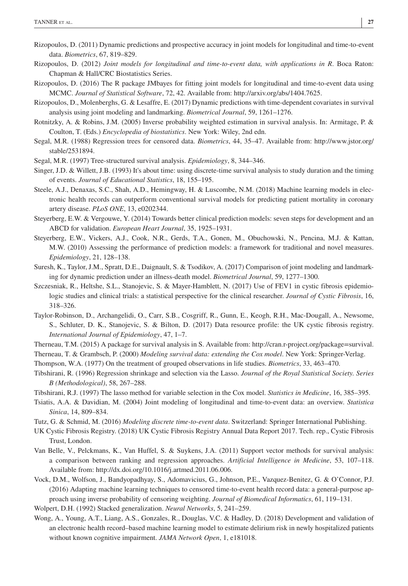- Rizopoulos, D. (2011) Dynamic predictions and prospective accuracy in joint models for longitudinal and time-to-event data. *Biometrics*, 67, 819–829.
- Rizopoulos, D. (2012) *Joint models for longitudinal and time-to-event data, with applications in R*. Boca Raton: Chapman & Hall/CRC Biostatistics Series.
- Rizopoulos, D. (2016) The R package JMbayes for fitting joint models for longitudinal and time-to-event data using MCMC. *Journal of Statistical Software*, 72, 42. Available from: [http://arxiv.org/abs/1404.7625.](http://arxiv.org/abs/1404.7625)
- Rizopoulos, D., Molenberghs, G. & Lesaffre, E. (2017) Dynamic predictions with time-dependent covariates in survival analysis using joint modeling and landmarking. *Biometrical Journal*, 59, 1261–1276.
- Rotnitzky, A. & Robins, J.M. (2005) Inverse probability weighted estimation in survival analysis. In: Armitage, P. & Coulton, T. (Eds.) *Encyclopedia of biostatistics*. New York: Wiley, 2nd edn.
- Segal, M.R. (1988) Regression trees for censored data. *Biometrics*, 44, 35–47. Available from: [http://www.jstor.org/](http://www.jstor.org/stable/2531894) [stable/2531894](http://www.jstor.org/stable/2531894).
- Segal, M.R. (1997) Tree-structured survival analysis. *Epidemiology*, 8, 344–346.
- Singer, J.D. & Willett, J.B. (1993) It's about time: using discrete-time survival analysis to study duration and the timing of events. *Journal of Educational Statistics*, 18, 155–195.
- Steele, A.J., Denaxas, S.C., Shah, A.D., Hemingway, H. & Luscombe, N.M. (2018) Machine learning models in electronic health records can outperform conventional survival models for predicting patient mortality in coronary artery disease. *PLoS ONE*, 13, e0202344.
- Steyerberg, E.W. & Vergouwe, Y. (2014) Towards better clinical prediction models: seven steps for development and an ABCD for validation. *European Heart Journal*, 35, 1925–1931.
- Steyerberg, E.W., Vickers, A.J., Cook, N.R., Gerds, T.A., Gonen, M., Obuchowski, N., Pencina, M.J. & Kattan, M.W. (2010) Assessing the performance of prediction models: a framework for traditional and novel measures. *Epidemiology*, 21, 128–138.
- Suresh, K., Taylor, J.M., Spratt, D.E., Daignault, S. & Tsodikov, A. (2017) Comparison of joint modeling and landmarking for dynamic prediction under an illness-death model. *Biometrical Journal*, 59, 1277–1300.
- Szczesniak, R., Heltshe, S.L., Stanojevic, S. & Mayer-Hamblett, N. (2017) Use of FEV1 in cystic fibrosis epidemiologic studies and clinical trials: a statistical perspective for the clinical researcher. *Journal of Cystic Fibrosis*, 16, 318–326.
- Taylor-Robinson, D., Archangelidi, O., Carr, S.B., Cosgriff, R., Gunn, E., Keogh, R.H., Mac-Dougall, A., Newsome, S., Schluter, D. K., Stanojevic, S. & Bilton, D. (2017) Data resource profile: the UK cystic fibrosis registry. *International Journal of Epidemiology*, 47, 1–7.
- Therneau, T.M. (2015) A package for survival analysis in S. Available from: [http://cran.r-project.org/package=survival](http://cran.r 10project.org/package=survival).
- Therneau, T. & Grambsch, P. (2000) *Modeling survival data: extending the Cox model*. New York: Springer-Verlag.
- Thompson, W.A. (1977) On the treatment of grouped observations in life studies. *Biometrics*, 33, 463–470.
- Tibshirani, R. (1996) Regression shrinkage and selection via the Lasso. *Journal of the Royal Statistical Society. Series B (Methodological)*, 58, 267–288.
- Tibshirani, R.J. (1997) The lasso method for variable selection in the Cox model. *Statistics in Medicine*, 16, 385–395.
- Tsiatis, A.A. & Davidian, M. (2004) Joint modeling of longitudinal and time-to-event data: an overview. *Statistica Sinica*, 14, 809–834.
- Tutz, G. & Schmid, M. (2016) *Modeling discrete time-to-event data*. Switzerland: Springer International Publishing.
- UK Cystic Fibrosis Registry. (2018) UK Cystic Fibrosis Registry Annual Data Report 2017. Tech. rep., Cystic Fibrosis Trust, London.
- Van Belle, V., Pelckmans, K., Van Huffel, S. & Suykens, J.A. (2011) Support vector methods for survival analysis: a comparison between ranking and regression approaches. *Artificial Intelligence in Medicine*, 53, 107–118. Available from:<http://dx.doi.org/10.1016/j.artmed.2011.06.006>.
- Vock, D.M., Wolfson, J., Bandyopadhyay, S., Adomavicius, G., Johnson, P.E., Vazquez-Benitez, G. & O'Connor, P.J. (2016) Adapting machine learning techniques to censored time-to-event health record data: a general-purpose approach using inverse probability of censoring weighting. *Journal of Biomedical Informatics*, 61, 119–131.
- Wolpert, D.H. (1992) Stacked generalization. *Neural Networks*, 5, 241–259.
- Wong, A., Young, A.T., Liang, A.S., Gonzales, R., Douglas, V.C. & Hadley, D. (2018) Development and validation of an electronic health record–based machine learning model to estimate delirium risk in newly hospitalized patients without known cognitive impairment. *JAMA Network Open*, 1, e181018.